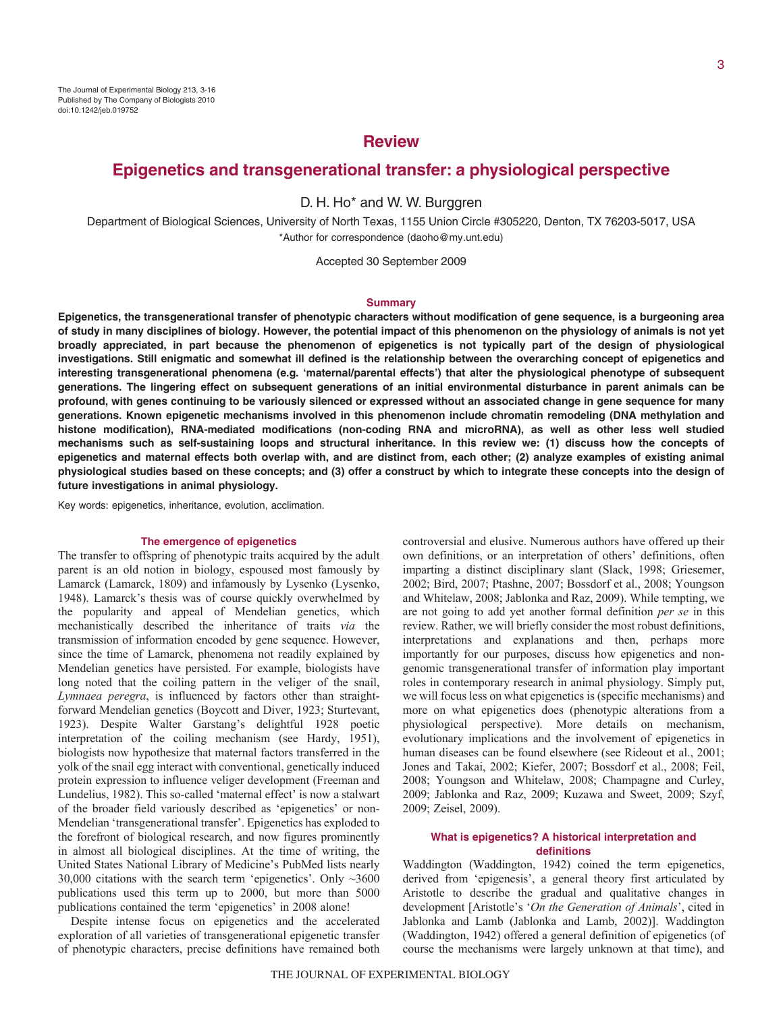# **Review**

# **Epigenetics and transgenerational transfer: a physiological perspective**

D. H. Ho\* and W. W. Burggren

Department of Biological Sciences, University of North Texas, 1155 Union Circle #305220, Denton, TX 76203-5017, USA \*Author for correspondence (daoho@my.unt.edu)

Accepted 30 September 2009

#### **Summary**

**Epigenetics, the transgenerational transfer of phenotypic characters without modification of gene sequence, is a burgeoning area of study in many disciplines of biology. However, the potential impact of this phenomenon on the physiology of animals is not yet broadly appreciated, in part because the phenomenon of epigenetics is not typically part of the design of physiological investigations. Still enigmatic and somewhat ill defined is the relationship between the overarching concept of epigenetics and interesting transgenerational phenomena (e.g. 'maternal/parental effects') that alter the physiological phenotype of subsequent generations. The lingering effect on subsequent generations of an initial environmental disturbance in parent animals can be profound, with genes continuing to be variously silenced or expressed without an associated change in gene sequence for many generations. Known epigenetic mechanisms involved in this phenomenon include chromatin remodeling (DNA methylation and histone modification), RNA-mediated modifications (non-coding RNA and microRNA), as well as other less well studied mechanisms such as self-sustaining loops and structural inheritance. In this review we: (1) discuss how the concepts of epigenetics and maternal effects both overlap with, and are distinct from, each other; (2) analyze examples of existing animal physiological studies based on these concepts; and (3) offer a construct by which to integrate these concepts into the design of future investigations in animal physiology.**

Key words: epigenetics, inheritance, evolution, acclimation.

### **The emergence of epigenetics**

The transfer to offspring of phenotypic traits acquired by the adult parent is an old notion in biology, espoused most famously by Lamarck (Lamarck, 1809) and infamously by Lysenko (Lysenko, 1948). Lamarck's thesis was of course quickly overwhelmed by the popularity and appeal of Mendelian genetics, which mechanistically described the inheritance of traits *via* the transmission of information encoded by gene sequence. However, since the time of Lamarck, phenomena not readily explained by Mendelian genetics have persisted. For example, biologists have long noted that the coiling pattern in the veliger of the snail, *Lymnaea peregra*, is influenced by factors other than straightforward Mendelian genetics (Boycott and Diver, 1923; Sturtevant, 1923). Despite Walter Garstang's delightful 1928 poetic interpretation of the coiling mechanism (see Hardy, 1951), biologists now hypothesize that maternal factors transferred in the yolk of the snail egg interact with conventional, genetically induced protein expression to influence veliger development (Freeman and Lundelius, 1982). This so-called 'maternal effect' is now a stalwart of the broader field variously described as 'epigenetics' or non-Mendelian 'transgenerational transfer'. Epigenetics has exploded to the forefront of biological research, and now figures prominently in almost all biological disciplines. At the time of writing, the United States National Library of Medicine's PubMed lists nearly 30,000 citations with the search term 'epigenetics'. Only  $\sim$ 3600 publications used this term up to 2000, but more than 5000 publications contained the term 'epigenetics' in 2008 alone!

Despite intense focus on epigenetics and the accelerated exploration of all varieties of transgenerational epigenetic transfer of phenotypic characters, precise definitions have remained both controversial and elusive. Numerous authors have offered up their own definitions, or an interpretation of others' definitions, often imparting a distinct disciplinary slant (Slack, 1998; Griesemer, 2002; Bird, 2007; Ptashne, 2007; Bossdorf et al., 2008; Youngson and Whitelaw, 2008; Jablonka and Raz, 2009). While tempting, we are not going to add yet another formal definition *per se* in this review. Rather, we will briefly consider the most robust definitions, interpretations and explanations and then, perhaps more importantly for our purposes, discuss how epigenetics and nongenomic transgenerational transfer of information play important roles in contemporary research in animal physiology. Simply put, we will focus less on what epigenetics is (specific mechanisms) and more on what epigenetics does (phenotypic alterations from a physiological perspective). More details on mechanism, evolutionary implications and the involvement of epigenetics in human diseases can be found elsewhere (see Rideout et al., 2001; Jones and Takai, 2002; Kiefer, 2007; Bossdorf et al., 2008; Feil, 2008; Youngson and Whitelaw, 2008; Champagne and Curley, 2009; Jablonka and Raz, 2009; Kuzawa and Sweet, 2009; Szyf, 2009; Zeisel, 2009).

# **What is epigenetics? A historical interpretation and definitions**

Waddington (Waddington, 1942) coined the term epigenetics, derived from 'epigenesis', a general theory first articulated by Aristotle to describe the gradual and qualitative changes in development [Aristotle's '*On the Generation of Animals*', cited in Jablonka and Lamb (Jablonka and Lamb, 2002)]. Waddington (Waddington, 1942) offered a general definition of epigenetics (of course the mechanisms were largely unknown at that time), and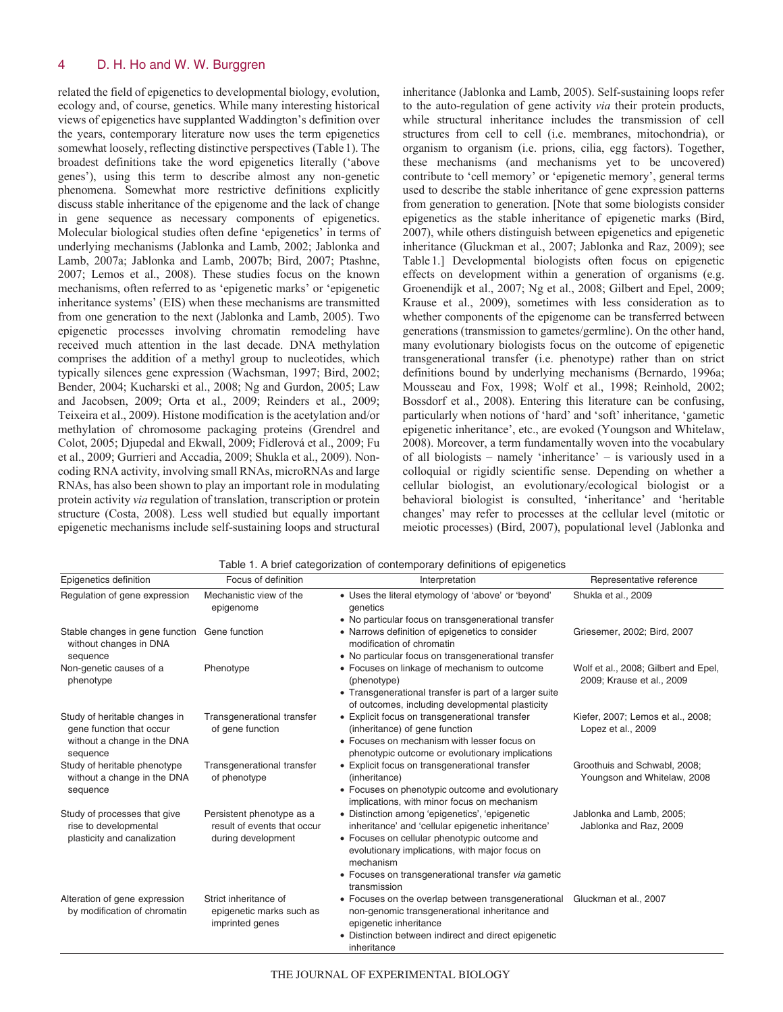related the field of epigenetics to developmental biology, evolution, ecology and, of course, genetics. While many interesting historical views of epigenetics have supplanted Waddington's definition over the years, contemporary literature now uses the term epigenetics somewhat loosely, reflecting distinctive perspectives (Table1). The broadest definitions take the word epigenetics literally ('above genes'), using this term to describe almost any non-genetic phenomena. Somewhat more restrictive definitions explicitly discuss stable inheritance of the epigenome and the lack of change in gene sequence as necessary components of epigenetics. Molecular biological studies often define 'epigenetics' in terms of underlying mechanisms (Jablonka and Lamb, 2002; Jablonka and Lamb, 2007a; Jablonka and Lamb, 2007b; Bird, 2007; Ptashne, 2007; Lemos et al., 2008). These studies focus on the known mechanisms, often referred to as 'epigenetic marks' or 'epigenetic inheritance systems' (EIS) when these mechanisms are transmitted from one generation to the next (Jablonka and Lamb, 2005). Two epigenetic processes involving chromatin remodeling have received much attention in the last decade. DNA methylation comprises the addition of a methyl group to nucleotides, which typically silences gene expression (Wachsman, 1997; Bird, 2002; Bender, 2004; Kucharski et al., 2008; Ng and Gurdon, 2005; Law and Jacobsen, 2009; Orta et al., 2009; Reinders et al., 2009; Teixeira et al., 2009). Histone modification is the acetylation and/or methylation of chromosome packaging proteins (Grendrel and Colot, 2005; Djupedal and Ekwall, 2009; Fidlerová et al., 2009; Fu et al., 2009; Gurrieri and Accadia, 2009; Shukla et al., 2009). Noncoding RNA activity, involving small RNAs, microRNAs and large RNAs, has also been shown to play an important role in modulating protein activity *via* regulation of translation, transcription or protein structure (Costa, 2008). Less well studied but equally important epigenetic mechanisms include self-sustaining loops and structural

inheritance (Jablonka and Lamb, 2005). Self-sustaining loops refer to the auto-regulation of gene activity *via* their protein products, while structural inheritance includes the transmission of cell structures from cell to cell (i.e. membranes, mitochondria), or organism to organism (i.e. prions, cilia, egg factors). Together, these mechanisms (and mechanisms yet to be uncovered) contribute to 'cell memory' or 'epigenetic memory', general terms used to describe the stable inheritance of gene expression patterns from generation to generation. [Note that some biologists consider epigenetics as the stable inheritance of epigenetic marks (Bird, 2007), while others distinguish between epigenetics and epigenetic inheritance (Gluckman et al., 2007; Jablonka and Raz, 2009); see Table1.] Developmental biologists often focus on epigenetic effects on development within a generation of organisms (e.g. Groenendijk et al., 2007; Ng et al., 2008; Gilbert and Epel, 2009; Krause et al., 2009), sometimes with less consideration as to whether components of the epigenome can be transferred between generations (transmission to gametes/germline). On the other hand, many evolutionary biologists focus on the outcome of epigenetic transgenerational transfer (i.e. phenotype) rather than on strict definitions bound by underlying mechanisms (Bernardo, 1996a; Mousseau and Fox, 1998; Wolf et al., 1998; Reinhold, 2002; Bossdorf et al., 2008). Entering this literature can be confusing, particularly when notions of 'hard' and 'soft' inheritance, 'gametic epigenetic inheritance', etc., are evoked (Youngson and Whitelaw, 2008). Moreover, a term fundamentally woven into the vocabulary of all biologists – namely 'inheritance' – is variously used in a colloquial or rigidly scientific sense. Depending on whether a cellular biologist, an evolutionary/ecological biologist or a behavioral biologist is consulted, 'inheritance' and 'heritable changes' may refer to processes at the cellular level (mitotic or meiotic processes) (Bird, 2007), populational level (Jablonka and

| Epigenetics definition                                                                               | Focus of definition                                                            | Interpretation                                                                                                                                                                                                                                                                             | Representative reference                                          |
|------------------------------------------------------------------------------------------------------|--------------------------------------------------------------------------------|--------------------------------------------------------------------------------------------------------------------------------------------------------------------------------------------------------------------------------------------------------------------------------------------|-------------------------------------------------------------------|
| Regulation of gene expression                                                                        | Mechanistic view of the<br>epigenome                                           | • Uses the literal etymology of 'above' or 'beyond'<br>genetics<br>• No particular focus on transgenerational transfer                                                                                                                                                                     | Shukla et al., 2009                                               |
| Stable changes in gene function Gene function<br>without changes in DNA<br>sequence                  |                                                                                | • Narrows definition of epigenetics to consider<br>modification of chromatin<br>• No particular focus on transgenerational transfer                                                                                                                                                        | Griesemer, 2002; Bird, 2007                                       |
| Non-genetic causes of a<br>phenotype                                                                 | Phenotype                                                                      | • Focuses on linkage of mechanism to outcome<br>(phenotype)<br>• Transgenerational transfer is part of a larger suite<br>of outcomes, including developmental plasticity                                                                                                                   | Wolf et al., 2008; Gilbert and Epel,<br>2009; Krause et al., 2009 |
| Study of heritable changes in<br>gene function that occur<br>without a change in the DNA<br>sequence | Transgenerational transfer<br>of gene function                                 | • Explicit focus on transgenerational transfer<br>(inheritance) of gene function<br>• Focuses on mechanism with lesser focus on<br>phenotypic outcome or evolutionary implications                                                                                                         | Kiefer, 2007; Lemos et al., 2008;<br>Lopez et al., 2009           |
| Study of heritable phenotype<br>without a change in the DNA<br>sequence                              | Transgenerational transfer<br>of phenotype                                     | • Explicit focus on transgenerational transfer<br>(inheritance)<br>• Focuses on phenotypic outcome and evolutionary<br>implications, with minor focus on mechanism                                                                                                                         | Groothuis and Schwabl, 2008;<br>Youngson and Whitelaw, 2008       |
| Study of processes that give<br>rise to developmental<br>plasticity and canalization                 | Persistent phenotype as a<br>result of events that occur<br>during development | • Distinction among 'epigenetics', 'epigenetic<br>inheritance' and 'cellular epigenetic inheritance'<br>• Focuses on cellular phenotypic outcome and<br>evolutionary implications, with major focus on<br>mechanism<br>• Focuses on transgenerational transfer via gametic<br>transmission | Jablonka and Lamb, 2005;<br>Jablonka and Raz, 2009                |
| Alteration of gene expression<br>by modification of chromatin                                        | Strict inheritance of<br>epigenetic marks such as<br>imprinted genes           | • Focuses on the overlap between transgenerational<br>non-genomic transgenerational inheritance and<br>epigenetic inheritance<br>• Distinction between indirect and direct epigenetic<br>inheritance                                                                                       | Gluckman et al., 2007                                             |

Table 1. A brief categorization of contemporary definitions of epigenetics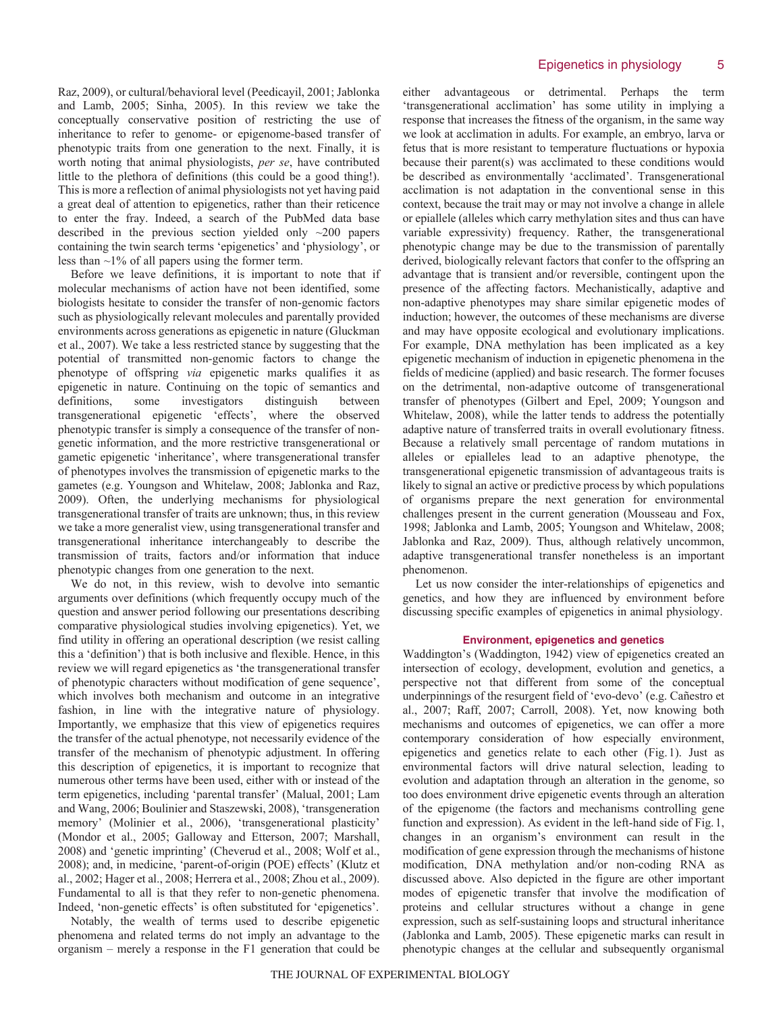Raz, 2009), or cultural/behavioral level (Peedicayil, 2001; Jablonka and Lamb, 2005; Sinha, 2005). In this review we take the conceptually conservative position of restricting the use of inheritance to refer to genome- or epigenome-based transfer of phenotypic traits from one generation to the next. Finally, it is worth noting that animal physiologists, *per se*, have contributed little to the plethora of definitions (this could be a good thing!). This is more a reflection of animal physiologists not yet having paid a great deal of attention to epigenetics, rather than their reticence to enter the fray. Indeed, a search of the PubMed data base described in the previous section yielded only  $\sim$ 200 papers containing the twin search terms 'epigenetics' and 'physiology', or less than ~1% of all papers using the former term.

Before we leave definitions, it is important to note that if molecular mechanisms of action have not been identified, some biologists hesitate to consider the transfer of non-genomic factors such as physiologically relevant molecules and parentally provided environments across generations as epigenetic in nature (Gluckman et al., 2007). We take a less restricted stance by suggesting that the potential of transmitted non-genomic factors to change the phenotype of offspring *via* epigenetic marks qualifies it as epigenetic in nature. Continuing on the topic of semantics and definitions, some investigators distinguish between transgenerational epigenetic 'effects', where the observed phenotypic transfer is simply a consequence of the transfer of nongenetic information, and the more restrictive transgenerational or gametic epigenetic 'inheritance', where transgenerational transfer of phenotypes involves the transmission of epigenetic marks to the gametes (e.g. Youngson and Whitelaw, 2008; Jablonka and Raz, 2009). Often, the underlying mechanisms for physiological transgenerational transfer of traits are unknown; thus, in this review we take a more generalist view, using transgenerational transfer and transgenerational inheritance interchangeably to describe the transmission of traits, factors and/or information that induce phenotypic changes from one generation to the next.

We do not, in this review, wish to devolve into semantic arguments over definitions (which frequently occupy much of the question and answer period following our presentations describing comparative physiological studies involving epigenetics). Yet, we find utility in offering an operational description (we resist calling this a 'definition') that is both inclusive and flexible. Hence, in this review we will regard epigenetics as 'the transgenerational transfer of phenotypic characters without modification of gene sequence', which involves both mechanism and outcome in an integrative fashion, in line with the integrative nature of physiology. Importantly, we emphasize that this view of epigenetics requires the transfer of the actual phenotype, not necessarily evidence of the transfer of the mechanism of phenotypic adjustment. In offering this description of epigenetics, it is important to recognize that numerous other terms have been used, either with or instead of the term epigenetics, including 'parental transfer' (Malual, 2001; Lam and Wang, 2006; Boulinier and Staszewski, 2008), 'transgeneration memory' (Molinier et al., 2006), 'transgenerational plasticity' (Mondor et al., 2005; Galloway and Etterson, 2007; Marshall, 2008) and 'genetic imprinting' (Cheverud et al., 2008; Wolf et al., 2008); and, in medicine, 'parent-of-origin (POE) effects' (Klutz et al., 2002; Hager et al., 2008; Herrera et al., 2008; Zhou et al., 2009). Fundamental to all is that they refer to non-genetic phenomena. Indeed, 'non-genetic effects' is often substituted for 'epigenetics'.

Notably, the wealth of terms used to describe epigenetic phenomena and related terms do not imply an advantage to the organism – merely a response in the F1 generation that could be either advantageous or detrimental. Perhaps the term 'transgenerational acclimation' has some utility in implying a response that increases the fitness of the organism, in the same way we look at acclimation in adults. For example, an embryo, larva or fetus that is more resistant to temperature fluctuations or hypoxia because their parent(s) was acclimated to these conditions would be described as environmentally 'acclimated'. Transgenerational acclimation is not adaptation in the conventional sense in this context, because the trait may or may not involve a change in allele or epiallele (alleles which carry methylation sites and thus can have variable expressivity) frequency. Rather, the transgenerational phenotypic change may be due to the transmission of parentally derived, biologically relevant factors that confer to the offspring an advantage that is transient and/or reversible, contingent upon the presence of the affecting factors. Mechanistically, adaptive and non-adaptive phenotypes may share similar epigenetic modes of induction; however, the outcomes of these mechanisms are diverse and may have opposite ecological and evolutionary implications. For example, DNA methylation has been implicated as a key epigenetic mechanism of induction in epigenetic phenomena in the fields of medicine (applied) and basic research. The former focuses on the detrimental, non-adaptive outcome of transgenerational transfer of phenotypes (Gilbert and Epel, 2009; Youngson and Whitelaw, 2008), while the latter tends to address the potentially adaptive nature of transferred traits in overall evolutionary fitness. Because a relatively small percentage of random mutations in alleles or epialleles lead to an adaptive phenotype, the transgenerational epigenetic transmission of advantageous traits is likely to signal an active or predictive process by which populations of organisms prepare the next generation for environmental challenges present in the current generation (Mousseau and Fox, 1998; Jablonka and Lamb, 2005; Youngson and Whitelaw, 2008; Jablonka and Raz, 2009). Thus, although relatively uncommon, adaptive transgenerational transfer nonetheless is an important phenomenon.

Let us now consider the inter-relationships of epigenetics and genetics, and how they are influenced by environment before discussing specific examples of epigenetics in animal physiology.

### **Environment, epigenetics and genetics**

Waddington's (Waddington, 1942) view of epigenetics created an intersection of ecology, development, evolution and genetics, a perspective not that different from some of the conceptual underpinnings of the resurgent field of 'evo-devo' (e.g. Cañestro et al., 2007; Raff, 2007; Carroll, 2008). Yet, now knowing both mechanisms and outcomes of epigenetics, we can offer a more contemporary consideration of how especially environment, epigenetics and genetics relate to each other (Fig.1). Just as environmental factors will drive natural selection, leading to evolution and adaptation through an alteration in the genome, so too does environment drive epigenetic events through an alteration of the epigenome (the factors and mechanisms controlling gene function and expression). As evident in the left-hand side of Fig.1, changes in an organism's environment can result in the modification of gene expression through the mechanisms of histone modification, DNA methylation and/or non-coding RNA as discussed above. Also depicted in the figure are other important modes of epigenetic transfer that involve the modification of proteins and cellular structures without a change in gene expression, such as self-sustaining loops and structural inheritance (Jablonka and Lamb, 2005). These epigenetic marks can result in phenotypic changes at the cellular and subsequently organismal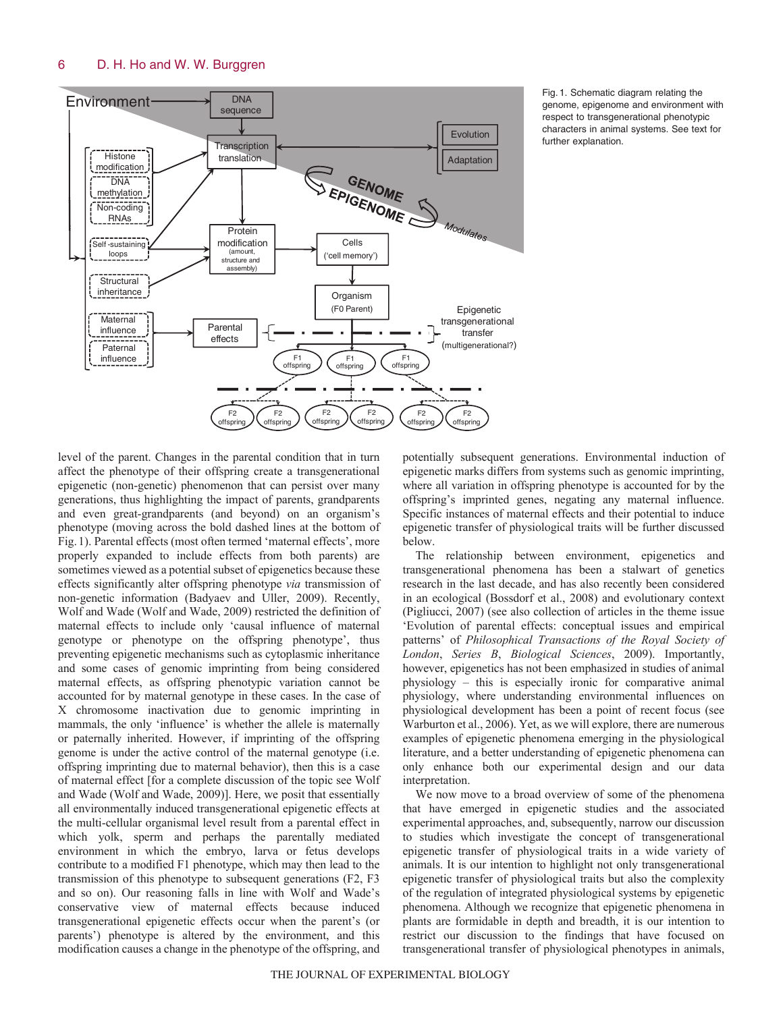

Fig. 1. Schematic diagram relating the genome, epigenome and environment with respect to transgenerational phenotypic characters in animal systems. See text for further explanation.

level of the parent. Changes in the parental condition that in turn affect the phenotype of their offspring create a transgenerational epigenetic (non-genetic) phenomenon that can persist over many generations, thus highlighting the impact of parents, grandparents and even great-grandparents (and beyond) on an organism's phenotype (moving across the bold dashed lines at the bottom of Fig.1). Parental effects (most often termed 'maternal effects', more properly expanded to include effects from both parents) are sometimes viewed as a potential subset of epigenetics because these effects significantly alter offspring phenotype *via* transmission of non-genetic information (Badyaev and Uller, 2009). Recently, Wolf and Wade (Wolf and Wade, 2009) restricted the definition of maternal effects to include only 'causal influence of maternal genotype or phenotype on the offspring phenotype', thus preventing epigenetic mechanisms such as cytoplasmic inheritance and some cases of genomic imprinting from being considered maternal effects, as offspring phenotypic variation cannot be accounted for by maternal genotype in these cases. In the case of X chromosome inactivation due to genomic imprinting in mammals, the only 'influence' is whether the allele is maternally or paternally inherited. However, if imprinting of the offspring genome is under the active control of the maternal genotype (i.e. offspring imprinting due to maternal behavior), then this is a case of maternal effect [for a complete discussion of the topic see Wolf and Wade (Wolf and Wade, 2009)]. Here, we posit that essentially all environmentally induced transgenerational epigenetic effects at the multi-cellular organismal level result from a parental effect in which yolk, sperm and perhaps the parentally mediated environment in which the embryo, larva or fetus develops contribute to a modified F1 phenotype, which may then lead to the transmission of this phenotype to subsequent generations (F2, F3 and so on). Our reasoning falls in line with Wolf and Wade's conservative view of maternal effects because induced transgenerational epigenetic effects occur when the parent's (or parents') phenotype is altered by the environment, and this modification causes a change in the phenotype of the offspring, and

potentially subsequent generations. Environmental induction of epigenetic marks differs from systems such as genomic imprinting, where all variation in offspring phenotype is accounted for by the offspring's imprinted genes, negating any maternal influence. Specific instances of maternal effects and their potential to induce epigenetic transfer of physiological traits will be further discussed below.

The relationship between environment, epigenetics and transgenerational phenomena has been a stalwart of genetics research in the last decade, and has also recently been considered in an ecological (Bossdorf et al., 2008) and evolutionary context (Pigliucci, 2007) (see also collection of articles in the theme issue 'Evolution of parental effects: conceptual issues and empirical patterns' of *Philosophical Transactions of the Royal Society of London*, *Series B*, *Biological Sciences*, 2009). Importantly, however, epigenetics has not been emphasized in studies of animal physiology – this is especially ironic for comparative animal physiology, where understanding environmental influences on physiological development has been a point of recent focus (see Warburton et al., 2006). Yet, as we will explore, there are numerous examples of epigenetic phenomena emerging in the physiological literature, and a better understanding of epigenetic phenomena can only enhance both our experimental design and our data interpretation.

We now move to a broad overview of some of the phenomena that have emerged in epigenetic studies and the associated experimental approaches, and, subsequently, narrow our discussion to studies which investigate the concept of transgenerational epigenetic transfer of physiological traits in a wide variety of animals. It is our intention to highlight not only transgenerational epigenetic transfer of physiological traits but also the complexity of the regulation of integrated physiological systems by epigenetic phenomena. Although we recognize that epigenetic phenomena in plants are formidable in depth and breadth, it is our intention to restrict our discussion to the findings that have focused on transgenerational transfer of physiological phenotypes in animals,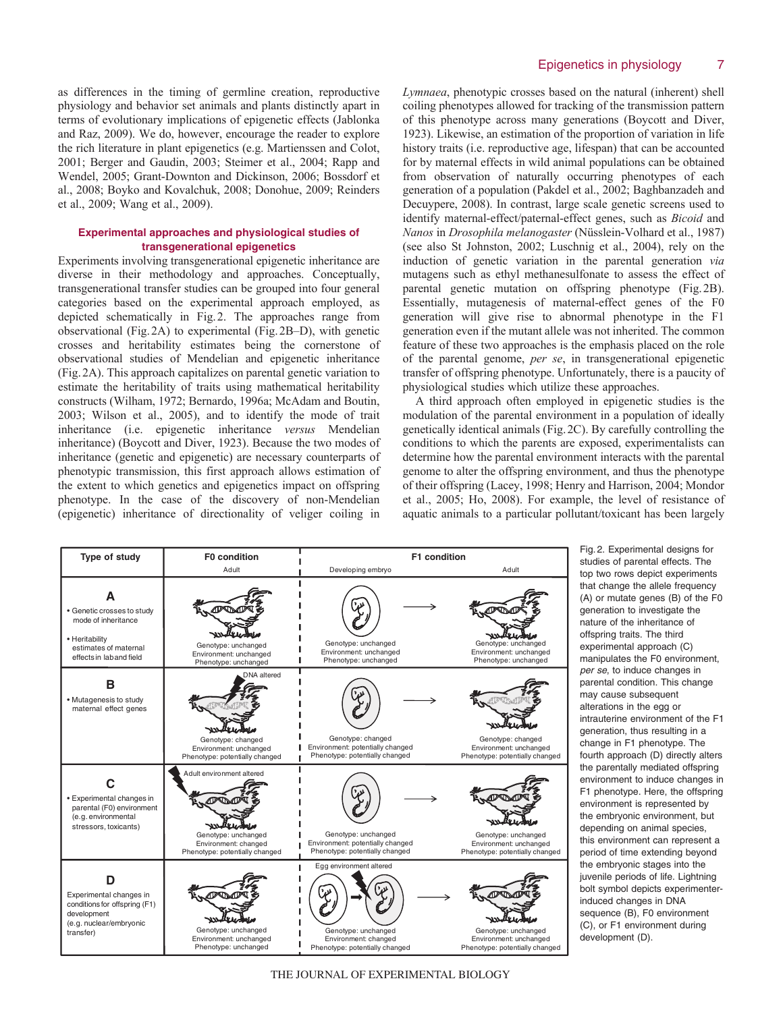as differences in the timing of germline creation, reproductive physiology and behavior set animals and plants distinctly apart in terms of evolutionary implications of epigenetic effects (Jablonka and Raz, 2009). We do, however, encourage the reader to explore the rich literature in plant epigenetics (e.g. Martienssen and Colot, 2001; Berger and Gaudin, 2003; Steimer et al., 2004; Rapp and Wendel, 2005; Grant-Downton and Dickinson, 2006; Bossdorf et al., 2008; Boyko and Kovalchuk, 2008; Donohue, 2009; Reinders et al., 2009; Wang et al., 2009).

# **Experimental approaches and physiological studies of transgenerational epigenetics**

Experiments involving transgenerational epigenetic inheritance are diverse in their methodology and approaches. Conceptually, transgenerational transfer studies can be grouped into four general categories based on the experimental approach employed, as depicted schematically in Fig.2. The approaches range from observational (Fig.2A) to experimental (Fig.2B–D), with genetic crosses and heritability estimates being the cornerstone of observational studies of Mendelian and epigenetic inheritance (Fig.2A). This approach capitalizes on parental genetic variation to estimate the heritability of traits using mathematical heritability constructs (Wilham, 1972; Bernardo, 1996a; McAdam and Boutin, 2003; Wilson et al., 2005), and to identify the mode of trait inheritance (i.e. epigenetic inheritance *versus* Mendelian inheritance) (Boycott and Diver, 1923). Because the two modes of inheritance (genetic and epigenetic) are necessary counterparts of phenotypic transmission, this first approach allows estimation of the extent to which genetics and epigenetics impact on offspring phenotype. In the case of the discovery of non-Mendelian (epigenetic) inheritance of directionality of veliger coiling in *Lymnaea*, phenotypic crosses based on the natural (inherent) shell coiling phenotypes allowed for tracking of the transmission pattern of this phenotype across many generations (Boycott and Diver, 1923). Likewise, an estimation of the proportion of variation in life history traits (i.e. reproductive age, lifespan) that can be accounted for by maternal effects in wild animal populations can be obtained from observation of naturally occurring phenotypes of each generation of a population (Pakdel et al., 2002; Baghbanzadeh and Decuypere, 2008). In contrast, large scale genetic screens used to identify maternal-effect/paternal-effect genes, such as *Bicoid* and *Nanos* in *Drosophila melanogaster* (Nüsslein-Volhard et al., 1987) (see also St Johnston, 2002; Luschnig et al., 2004), rely on the induction of genetic variation in the parental generation *via* mutagens such as ethyl methanesulfonate to assess the effect of parental genetic mutation on offspring phenotype (Fig.2B). Essentially, mutagenesis of maternal-effect genes of the F0 generation will give rise to abnormal phenotype in the F1 generation even if the mutant allele was not inherited. The common feature of these two approaches is the emphasis placed on the role of the parental genome, *per se*, in transgenerational epigenetic transfer of offspring phenotype. Unfortunately, there is a paucity of physiological studies which utilize these approaches.

A third approach often employed in epigenetic studies is the modulation of the parental environment in a population of ideally genetically identical animals (Fig.2C). By carefully controlling the conditions to which the parents are exposed, experimentalists can determine how the parental environment interacts with the parental genome to alter the offspring environment, and thus the phenotype of their offspring (Lacey, 1998; Henry and Harrison, 2004; Mondor et al., 2005; Ho, 2008). For example, the level of resistance of aquatic animals to a particular pollutant/toxicant has been largely

| Type of study                                                                                                                 | F0 condition                                                                                               | F1 condition                                                                                             |                                                                                         |  |
|-------------------------------------------------------------------------------------------------------------------------------|------------------------------------------------------------------------------------------------------------|----------------------------------------------------------------------------------------------------------|-----------------------------------------------------------------------------------------|--|
|                                                                                                                               | Adult                                                                                                      | Developing embryo                                                                                        | Adult                                                                                   |  |
| А<br>· Genetic crosses to study<br>mode of inheritance<br>• Heritability<br>estimates of maternal<br>effects in lab and field | Genotype: unchanged<br>Environment: unchanged<br>Phenotype: unchanged                                      | Genotype: unchanged<br>Environment: unchanged<br>Phenotype: unchanged                                    | Genotype: unchanged<br>Environment: unchanged<br>Phenotype: unchanged                   |  |
| B<br>• Mutagenesis to study<br>maternal effect genes                                                                          | <b>DNA</b> altered                                                                                         |                                                                                                          |                                                                                         |  |
|                                                                                                                               | Genotype: changed<br>Environment: unchanged<br>Phenotype: potentially changed                              | Genotype: changed<br>Environment: potentially changed<br>Phenotype: potentially changed                  | Genotype: changed<br>Environment: unchanged<br>Phenotype: potentially changed           |  |
| • Experimental changes in<br>parental (F0) environment<br>(e.g. environmental<br>stressors, toxicants)                        | Adult environment altered<br>Genotype: unchanged<br>Environment: changed<br>Phenotype: potentially changed | Genotype: unchanged<br>Environment: potentially changed<br>Phenotype: potentially changed                | Genotype: unchanged<br>Environment: unchanged<br>Phenotype: potentially changed         |  |
| ח<br>Experimental changes in<br>conditions for offspring (F1)<br>development<br>(e.g. nuclear/embryonic<br>transfer)          | Genotype: unchanged<br>Environment: unchanged<br>Phenotype: unchanged                                      | Egg environment altered<br>Genotype: unchanged<br>Environment: changed<br>Phenotype: potentially changed | AIAT<br>Genotype: unchanged<br>Environment: unchanged<br>Phenotype: potentially changed |  |

1.2. Experimental designs for dies of parental effects. The two rows depict experiments at change the allele frequency or mutate genes (B) of the F0 neration to investigate the ture of the inheritance of spring traits. The third perimental approach (C) anipulates the F0 environment. r se, to induce changes in rental condition. This change ay cause subsequent erations in the egg or rauterine environment of the F1 neration, thus resulting in a ange in F1 phenotype. The irth approach (D) directly alters parentally mediated offspring vironment to induce changes in phenotype. Here, the offspring vironment is represented by embryonic environment, but pending on animal species, s environment can represent a riod of time extending beyond embryonic stages into the enile periods of life. Lightning It symbol depicts experimenterluced changes in DNA quence (B), F0 environment , or F1 environment during velopment (D).

THE JOURNAL OF EXPERIMENTAL BIOLOGY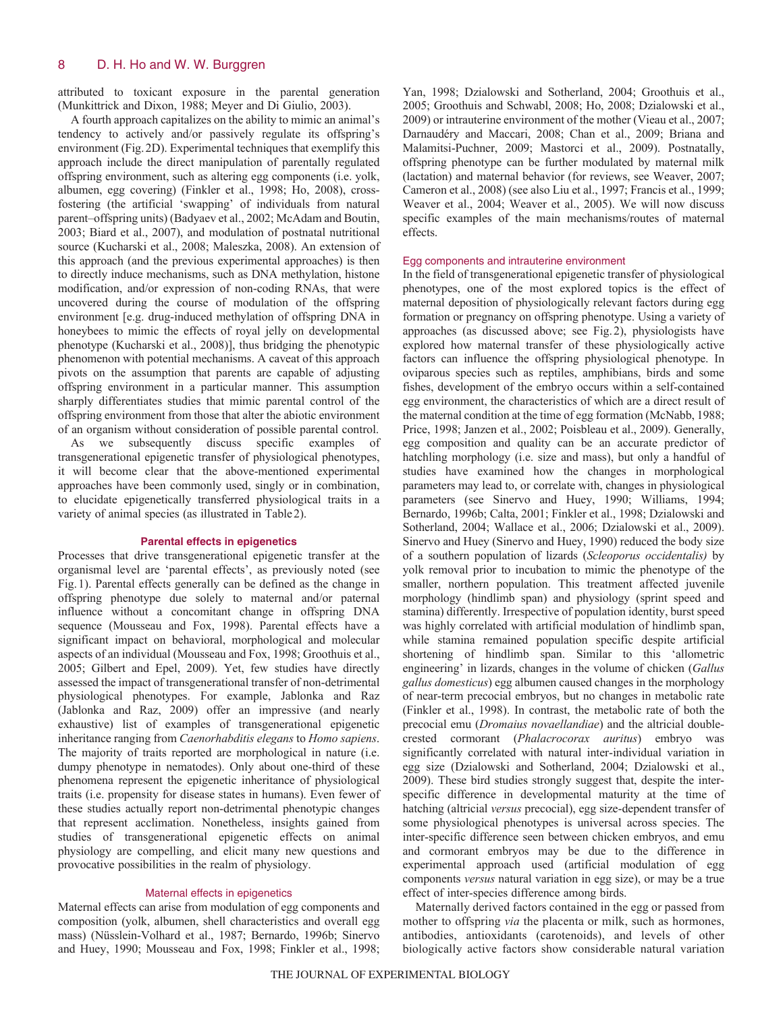attributed to toxicant exposure in the parental generation (Munkittrick and Dixon, 1988; Meyer and Di Giulio, 2003).

A fourth approach capitalizes on the ability to mimic an animal's tendency to actively and/or passively regulate its offspring's environment (Fig.2D). Experimental techniques that exemplify this approach include the direct manipulation of parentally regulated offspring environment, such as altering egg components (i.e. yolk, albumen, egg covering) (Finkler et al., 1998; Ho, 2008), crossfostering (the artificial 'swapping' of individuals from natural parent–offspring units) (Badyaev et al., 2002; McAdam and Boutin, 2003; Biard et al., 2007), and modulation of postnatal nutritional source (Kucharski et al., 2008; Maleszka, 2008). An extension of this approach (and the previous experimental approaches) is then to directly induce mechanisms, such as DNA methylation, histone modification, and/or expression of non-coding RNAs, that were uncovered during the course of modulation of the offspring environment [e.g. drug-induced methylation of offspring DNA in honeybees to mimic the effects of royal jelly on developmental phenotype (Kucharski et al., 2008)], thus bridging the phenotypic phenomenon with potential mechanisms. A caveat of this approach pivots on the assumption that parents are capable of adjusting offspring environment in a particular manner. This assumption sharply differentiates studies that mimic parental control of the offspring environment from those that alter the abiotic environment of an organism without consideration of possible parental control.

As we subsequently discuss specific examples of transgenerational epigenetic transfer of physiological phenotypes, it will become clear that the above-mentioned experimental approaches have been commonly used, singly or in combination, to elucidate epigenetically transferred physiological traits in a variety of animal species (as illustrated in Table2).

### **Parental effects in epigenetics**

Processes that drive transgenerational epigenetic transfer at the organismal level are 'parental effects', as previously noted (see Fig.1). Parental effects generally can be defined as the change in offspring phenotype due solely to maternal and/or paternal influence without a concomitant change in offspring DNA sequence (Mousseau and Fox, 1998). Parental effects have a significant impact on behavioral, morphological and molecular aspects of an individual (Mousseau and Fox, 1998; Groothuis et al., 2005; Gilbert and Epel, 2009). Yet, few studies have directly assessed the impact of transgenerational transfer of non-detrimental physiological phenotypes. For example, Jablonka and Raz (Jablonka and Raz, 2009) offer an impressive (and nearly exhaustive) list of examples of transgenerational epigenetic inheritance ranging from *Caenorhabditis elegans* to *Homo sapiens*. The majority of traits reported are morphological in nature (i.e. dumpy phenotype in nematodes). Only about one-third of these phenomena represent the epigenetic inheritance of physiological traits (i.e. propensity for disease states in humans). Even fewer of these studies actually report non-detrimental phenotypic changes that represent acclimation. Nonetheless, insights gained from studies of transgenerational epigenetic effects on animal physiology are compelling, and elicit many new questions and provocative possibilities in the realm of physiology.

### Maternal effects in epigenetics

Maternal effects can arise from modulation of egg components and composition (yolk, albumen, shell characteristics and overall egg mass) (Nüsslein-Volhard et al., 1987; Bernardo, 1996b; Sinervo and Huey, 1990; Mousseau and Fox, 1998; Finkler et al., 1998;

Yan, 1998; Dzialowski and Sotherland, 2004; Groothuis et al., 2005; Groothuis and Schwabl, 2008; Ho, 2008; Dzialowski et al., 2009) or intrauterine environment of the mother (Vieau et al., 2007; Darnaudéry and Maccari, 2008; Chan et al., 2009; Briana and Malamitsi-Puchner, 2009; Mastorci et al., 2009). Postnatally, offspring phenotype can be further modulated by maternal milk (lactation) and maternal behavior (for reviews, see Weaver, 2007; Cameron et al., 2008) (see also Liu et al., 1997; Francis et al., 1999; Weaver et al., 2004; Weaver et al., 2005). We will now discuss specific examples of the main mechanisms/routes of maternal effects.

# Egg components and intrauterine environment

In the field of transgenerational epigenetic transfer of physiological phenotypes, one of the most explored topics is the effect of maternal deposition of physiologically relevant factors during egg formation or pregnancy on offspring phenotype. Using a variety of approaches (as discussed above; see Fig.2), physiologists have explored how maternal transfer of these physiologically active factors can influence the offspring physiological phenotype. In oviparous species such as reptiles, amphibians, birds and some fishes, development of the embryo occurs within a self-contained egg environment, the characteristics of which are a direct result of the maternal condition at the time of egg formation (McNabb, 1988; Price, 1998; Janzen et al., 2002; Poisbleau et al., 2009). Generally, egg composition and quality can be an accurate predictor of hatchling morphology (i.e. size and mass), but only a handful of studies have examined how the changes in morphological parameters may lead to, or correlate with, changes in physiological parameters (see Sinervo and Huey, 1990; Williams, 1994; Bernardo, 1996b; Calta, 2001; Finkler et al., 1998; Dzialowski and Sotherland, 2004; Wallace et al., 2006; Dzialowski et al., 2009). Sinervo and Huey (Sinervo and Huey, 1990) reduced the body size of a southern population of lizards (*Scleoporus occidentalis)* by yolk removal prior to incubation to mimic the phenotype of the smaller, northern population. This treatment affected juvenile morphology (hindlimb span) and physiology (sprint speed and stamina) differently. Irrespective of population identity, burst speed was highly correlated with artificial modulation of hindlimb span, while stamina remained population specific despite artificial shortening of hindlimb span. Similar to this 'allometric engineering' in lizards, changes in the volume of chicken (*Gallus gallus domesticus*) egg albumen caused changes in the morphology of near-term precocial embryos, but no changes in metabolic rate (Finkler et al., 1998). In contrast, the metabolic rate of both the precocial emu (*Dromaius novaellandiae*) and the altricial doublecrested cormorant (*Phalacrocorax auritus*) embryo was significantly correlated with natural inter-individual variation in egg size (Dzialowski and Sotherland, 2004; Dzialowski et al., 2009). These bird studies strongly suggest that, despite the interspecific difference in developmental maturity at the time of hatching (altricial *versus* precocial), egg size-dependent transfer of some physiological phenotypes is universal across species. The inter-specific difference seen between chicken embryos, and emu and cormorant embryos may be due to the difference in experimental approach used (artificial modulation of egg components *versus* natural variation in egg size), or may be a true effect of inter-species difference among birds.

Maternally derived factors contained in the egg or passed from mother to offspring *via* the placenta or milk, such as hormones, antibodies, antioxidants (carotenoids), and levels of other biologically active factors show considerable natural variation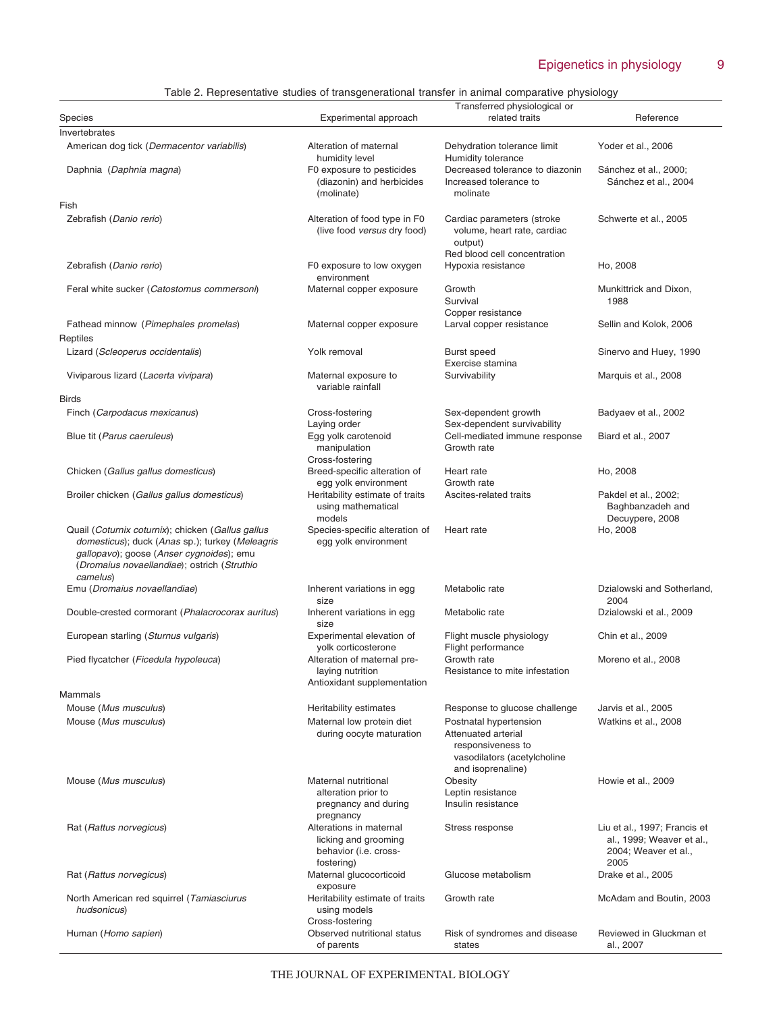# Epigenetics in physiology 9

|  | Table 2. Representative studies of transgenerational transfer in animal comparative physiology |
|--|------------------------------------------------------------------------------------------------|
|  |                                                                                                |

|                                                                                                                                                                                                             | $\alpha$ , representative etables of transportational transfer in animal comparative priversion |                                                                                                                        |                                                                                           |  |
|-------------------------------------------------------------------------------------------------------------------------------------------------------------------------------------------------------------|-------------------------------------------------------------------------------------------------|------------------------------------------------------------------------------------------------------------------------|-------------------------------------------------------------------------------------------|--|
| Species                                                                                                                                                                                                     | Experimental approach                                                                           | Transferred physiological or<br>related traits                                                                         | Reference                                                                                 |  |
| Invertebrates                                                                                                                                                                                               |                                                                                                 |                                                                                                                        |                                                                                           |  |
| American dog tick (Dermacentor variabilis)                                                                                                                                                                  | Alteration of maternal<br>humidity level                                                        | Dehydration tolerance limit<br>Humidity tolerance                                                                      | Yoder et al., 2006                                                                        |  |
| Daphnia (Daphnia magna)<br>Fish                                                                                                                                                                             | F0 exposure to pesticides<br>(diazonin) and herbicides<br>(molinate)                            | Decreased tolerance to diazonin<br>Increased tolerance to<br>molinate                                                  | Sánchez et al., 2000;<br>Sánchez et al., 2004                                             |  |
| Zebrafish (Danio rerio)                                                                                                                                                                                     | Alteration of food type in F0<br>(live food versus dry food)                                    | Cardiac parameters (stroke<br>volume, heart rate, cardiac                                                              | Schwerte et al., 2005                                                                     |  |
| Zebrafish (Danio rerio)                                                                                                                                                                                     | F0 exposure to low oxygen<br>environment                                                        | output)<br>Red blood cell concentration<br>Hypoxia resistance                                                          | Ho, 2008                                                                                  |  |
| Feral white sucker (Catostomus commersoni)                                                                                                                                                                  | Maternal copper exposure                                                                        | Growth<br>Survival                                                                                                     | Munkittrick and Dixon,<br>1988                                                            |  |
| Fathead minnow (Pimephales promelas)<br>Reptiles                                                                                                                                                            | Maternal copper exposure                                                                        | Copper resistance<br>Larval copper resistance                                                                          | Sellin and Kolok, 2006                                                                    |  |
| Lizard (Scleoperus occidentalis)                                                                                                                                                                            | Yolk removal                                                                                    | <b>Burst speed</b><br>Exercise stamina                                                                                 | Sinervo and Huey, 1990                                                                    |  |
| Viviparous lizard (Lacerta vivipara)                                                                                                                                                                        | Maternal exposure to<br>variable rainfall                                                       | Survivability                                                                                                          | Marquis et al., 2008                                                                      |  |
| <b>Birds</b><br>Finch (Carpodacus mexicanus)                                                                                                                                                                | Cross-fostering                                                                                 | Sex-dependent growth                                                                                                   | Badyaev et al., 2002                                                                      |  |
| Blue tit (Parus caeruleus)                                                                                                                                                                                  | Laying order<br>Egg yolk carotenoid<br>manipulation                                             | Sex-dependent survivability<br>Cell-mediated immune response<br>Growth rate                                            | Biard et al., 2007                                                                        |  |
| Chicken (Gallus gallus domesticus)                                                                                                                                                                          | Cross-fostering<br>Breed-specific alteration of<br>egg yolk environment                         | Heart rate<br>Growth rate                                                                                              | Ho, 2008                                                                                  |  |
| Broiler chicken (Gallus gallus domesticus)                                                                                                                                                                  | Heritability estimate of traits<br>using mathematical<br>models                                 | Ascites-related traits                                                                                                 | Pakdel et al., 2002;<br>Baghbanzadeh and<br>Decuypere, 2008                               |  |
| Quail (Coturnix coturnix); chicken (Gallus gallus<br>domesticus); duck (Anas sp.); turkey (Meleagris<br>gallopavo); goose (Anser cygnoides); emu<br>(Dromaius novaellandiae); ostrich (Struthio<br>camelus) | Species-specific alteration of<br>egg yolk environment                                          | Heart rate                                                                                                             | Ho, 2008                                                                                  |  |
| Emu (Dromaius novaellandiae)                                                                                                                                                                                | Inherent variations in egg<br>size                                                              | Metabolic rate                                                                                                         | Dzialowski and Sotherland,<br>2004                                                        |  |
| Double-crested cormorant (Phalacrocorax auritus)                                                                                                                                                            | Inherent variations in egg<br>size                                                              | Metabolic rate                                                                                                         | Dzialowski et al., 2009                                                                   |  |
| European starling (Sturnus vulgaris)                                                                                                                                                                        | Experimental elevation of<br>yolk corticosterone                                                | Flight muscle physiology<br>Flight performance                                                                         | Chin et al., 2009                                                                         |  |
| Pied flycatcher (Ficedula hypoleuca)                                                                                                                                                                        | Alteration of maternal pre-<br>laying nutrition<br>Antioxidant supplementation                  | Growth rate<br>Resistance to mite infestation                                                                          | Moreno et al., 2008                                                                       |  |
| Mammals                                                                                                                                                                                                     |                                                                                                 |                                                                                                                        |                                                                                           |  |
| Mouse (Mus musculus)                                                                                                                                                                                        | Heritability estimates                                                                          | Response to glucose challenge                                                                                          | Jarvis et al., 2005                                                                       |  |
| Mouse (Mus musculus)                                                                                                                                                                                        | Maternal low protein diet<br>during oocyte maturation                                           | Postnatal hypertension<br>Attenuated arterial<br>responsiveness to<br>vasodilators (acetylcholine<br>and isoprenaline) | Watkins et al., 2008                                                                      |  |
| Mouse (Mus musculus)                                                                                                                                                                                        | Maternal nutritional<br>alteration prior to<br>pregnancy and during<br>pregnancy                | Obesity<br>Leptin resistance<br>Insulin resistance                                                                     | Howie et al., 2009                                                                        |  |
| Rat (Rattus norvegicus)                                                                                                                                                                                     | Alterations in maternal<br>licking and grooming<br>behavior (i.e. cross-<br>fostering)          | Stress response                                                                                                        | Liu et al., 1997; Francis et<br>al., 1999; Weaver et al.,<br>2004; Weaver et al.,<br>2005 |  |
| Rat (Rattus norvegicus)                                                                                                                                                                                     | Maternal glucocorticoid<br>exposure                                                             | Glucose metabolism                                                                                                     | Drake et al., 2005                                                                        |  |
| North American red squirrel (Tamiasciurus<br>hudsonicus)                                                                                                                                                    | Heritability estimate of traits<br>using models<br>Cross-fostering                              | Growth rate                                                                                                            | McAdam and Boutin, 2003                                                                   |  |
| Human (Homo sapien)                                                                                                                                                                                         | Observed nutritional status<br>of parents                                                       | Risk of syndromes and disease<br>states                                                                                | Reviewed in Gluckman et<br>al., 2007                                                      |  |

THE JOURNAL OF EXPERIMENTAL BIOLOGY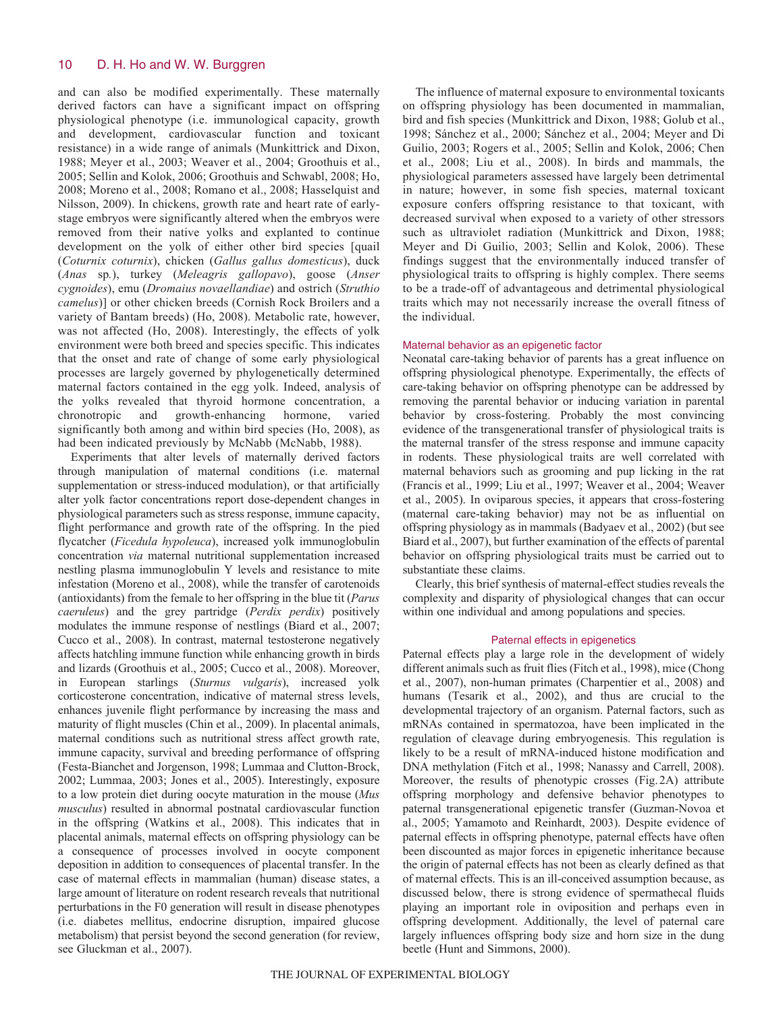and can also be modified experimentally. These maternally derived factors can have a significant impact on offspring physiological phenotype (i.e. immunological capacity, growth and development, cardiovascular function and toxicant resistance) in a wide range of animals (Munkittrick and Dixon, 1988; Meyer et al., 2003; Weaver et al., 2004; Groothuis et al., 2005; Sellin and Kolok, 2006; Groothuis and Schwabl, 2008; Ho, 2008; Moreno et al., 2008; Romano et al., 2008; Hasselquist and Nilsson, 2009). In chickens, growth rate and heart rate of earlystage embryos were significantly altered when the embryos were removed from their native yolks and explanted to continue development on the yolk of either other bird species [quail (*Coturnix coturnix*), chicken (*Gallus gallus domesticus*), duck (*Anas* sp*.*), turkey (*Meleagris gallopavo*), goose (*Anser cygnoides*), emu (*Dromaius novaellandiae*) and ostrich (*Struthio camelus*)] or other chicken breeds (Cornish Rock Broilers and a variety of Bantam breeds) (Ho, 2008). Metabolic rate, however, was not affected (Ho, 2008). Interestingly, the effects of yolk environment were both breed and species specific. This indicates that the onset and rate of change of some early physiological processes are largely governed by phylogenetically determined maternal factors contained in the egg yolk. Indeed, analysis of the yolks revealed that thyroid hormone concentration, a chronotropic and growth-enhancing hormone, varied significantly both among and within bird species (Ho, 2008), as had been indicated previously by McNabb (McNabb, 1988).

Experiments that alter levels of maternally derived factors through manipulation of maternal conditions (i.e. maternal supplementation or stress-induced modulation), or that artificially alter yolk factor concentrations report dose-dependent changes in physiological parameters such as stress response, immune capacity, flight performance and growth rate of the offspring. In the pied flycatcher (*Ficedula hypoleuca*), increased yolk immunoglobulin concentration *via* maternal nutritional supplementation increased nestling plasma immunoglobulin Y levels and resistance to mite infestation (Moreno et al., 2008), while the transfer of carotenoids (antioxidants) from the female to her offspring in the blue tit (*Parus caeruleus*) and the grey partridge (*Perdix perdix*) positively modulates the immune response of nestlings (Biard et al., 2007; Cucco et al., 2008). In contrast, maternal testosterone negatively affects hatchling immune function while enhancing growth in birds and lizards (Groothuis et al., 2005; Cucco et al., 2008). Moreover, in European starlings (*Sturnus vulgaris*), increased yolk corticosterone concentration, indicative of maternal stress levels, enhances juvenile flight performance by increasing the mass and maturity of flight muscles (Chin et al., 2009). In placental animals, maternal conditions such as nutritional stress affect growth rate, immune capacity, survival and breeding performance of offspring (Festa-Bianchet and Jorgenson, 1998; Lummaa and Clutton-Brock, 2002; Lummaa, 2003; Jones et al., 2005). Interestingly, exposure to a low protein diet during oocyte maturation in the mouse (*Mus musculus*) resulted in abnormal postnatal cardiovascular function in the offspring (Watkins et al., 2008). This indicates that in placental animals, maternal effects on offspring physiology can be a consequence of processes involved in oocyte component deposition in addition to consequences of placental transfer. In the case of maternal effects in mammalian (human) disease states, a large amount of literature on rodent research reveals that nutritional perturbations in the F0 generation will result in disease phenotypes (i.e. diabetes mellitus, endocrine disruption, impaired glucose metabolism) that persist beyond the second generation (for review, see Gluckman et al., 2007).

The influence of maternal exposure to environmental toxicants on offspring physiology has been documented in mammalian, bird and fish species (Munkittrick and Dixon, 1988; Golub et al., 1998; Sánchez et al., 2000; Sánchez et al., 2004; Meyer and Di Guilio, 2003; Rogers et al., 2005; Sellin and Kolok, 2006; Chen et al., 2008; Liu et al., 2008). In birds and mammals, the physiological parameters assessed have largely been detrimental in nature; however, in some fish species, maternal toxicant exposure confers offspring resistance to that toxicant, with decreased survival when exposed to a variety of other stressors such as ultraviolet radiation (Munkittrick and Dixon, 1988; Meyer and Di Guilio, 2003; Sellin and Kolok, 2006). These findings suggest that the environmentally induced transfer of physiological traits to offspring is highly complex. There seems to be a trade-off of advantageous and detrimental physiological traits which may not necessarily increase the overall fitness of the individual.

# Maternal behavior as an epigenetic factor

Neonatal care-taking behavior of parents has a great influence on offspring physiological phenotype. Experimentally, the effects of care-taking behavior on offspring phenotype can be addressed by removing the parental behavior or inducing variation in parental behavior by cross-fostering. Probably the most convincing evidence of the transgenerational transfer of physiological traits is the maternal transfer of the stress response and immune capacity in rodents. These physiological traits are well correlated with maternal behaviors such as grooming and pup licking in the rat (Francis et al., 1999; Liu et al., 1997; Weaver et al., 2004; Weaver et al., 2005). In oviparous species, it appears that cross-fostering (maternal care-taking behavior) may not be as influential on offspring physiology as in mammals (Badyaev et al., 2002) (but see Biard et al., 2007), but further examination of the effects of parental behavior on offspring physiological traits must be carried out to substantiate these claims.

Clearly, this brief synthesis of maternal-effect studies reveals the complexity and disparity of physiological changes that can occur within one individual and among populations and species.

### Paternal effects in epigenetics

Paternal effects play a large role in the development of widely different animals such as fruit flies (Fitch et al., 1998), mice (Chong et al., 2007), non-human primates (Charpentier et al., 2008) and humans (Tesarik et al., 2002), and thus are crucial to the developmental trajectory of an organism. Paternal factors, such as mRNAs contained in spermatozoa, have been implicated in the regulation of cleavage during embryogenesis. This regulation is likely to be a result of mRNA-induced histone modification and DNA methylation (Fitch et al., 1998; Nanassy and Carrell, 2008). Moreover, the results of phenotypic crosses (Fig.2A) attribute offspring morphology and defensive behavior phenotypes to paternal transgenerational epigenetic transfer (Guzman-Novoa et al., 2005; Yamamoto and Reinhardt, 2003). Despite evidence of paternal effects in offspring phenotype, paternal effects have often been discounted as major forces in epigenetic inheritance because the origin of paternal effects has not been as clearly defined as that of maternal effects. This is an ill-conceived assumption because, as discussed below, there is strong evidence of spermathecal fluids playing an important role in oviposition and perhaps even in offspring development. Additionally, the level of paternal care largely influences offspring body size and horn size in the dung beetle (Hunt and Simmons, 2000).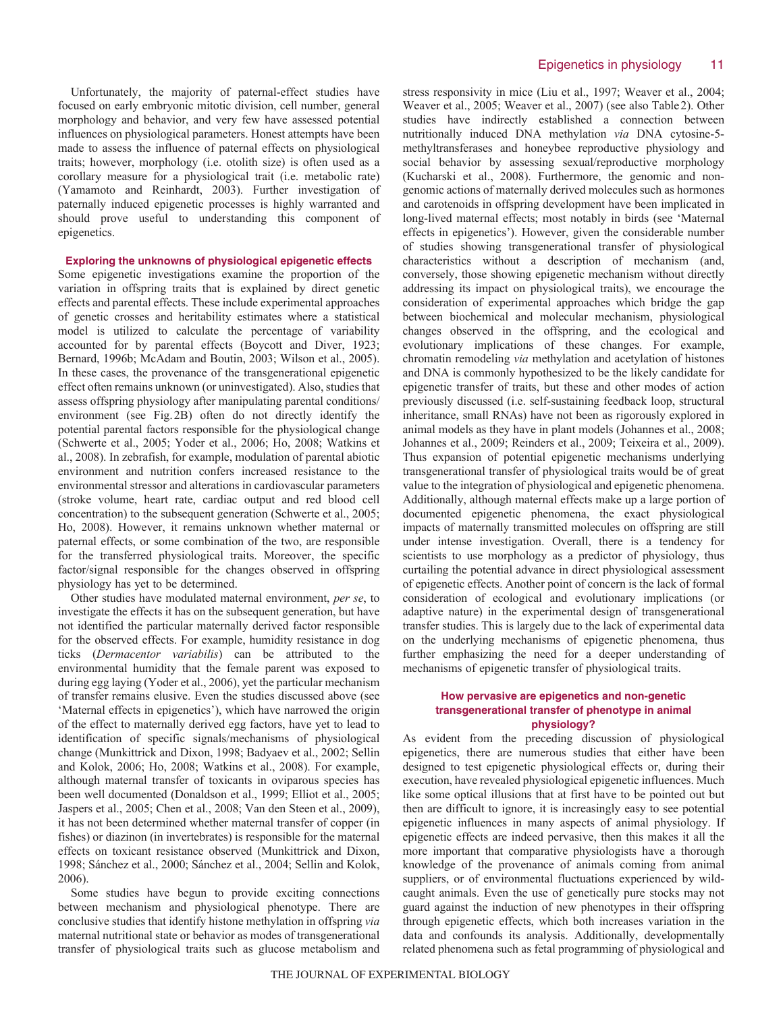Unfortunately, the majority of paternal-effect studies have focused on early embryonic mitotic division, cell number, general morphology and behavior, and very few have assessed potential influences on physiological parameters. Honest attempts have been made to assess the influence of paternal effects on physiological traits; however, morphology (i.e. otolith size) is often used as a corollary measure for a physiological trait (i.e. metabolic rate) (Yamamoto and Reinhardt, 2003). Further investigation of paternally induced epigenetic processes is highly warranted and should prove useful to understanding this component of epigenetics.

# **Exploring the unknowns of physiological epigenetic effects**

Some epigenetic investigations examine the proportion of the variation in offspring traits that is explained by direct genetic effects and parental effects. These include experimental approaches of genetic crosses and heritability estimates where a statistical model is utilized to calculate the percentage of variability accounted for by parental effects (Boycott and Diver, 1923; Bernard, 1996b; McAdam and Boutin, 2003; Wilson et al., 2005). In these cases, the provenance of the transgenerational epigenetic effect often remains unknown (or uninvestigated). Also, studies that assess offspring physiology after manipulating parental conditions/ environment (see Fig.2B) often do not directly identify the potential parental factors responsible for the physiological change (Schwerte et al., 2005; Yoder et al., 2006; Ho, 2008; Watkins et al., 2008). In zebrafish, for example, modulation of parental abiotic environment and nutrition confers increased resistance to the environmental stressor and alterations in cardiovascular parameters (stroke volume, heart rate, cardiac output and red blood cell concentration) to the subsequent generation (Schwerte et al., 2005; Ho, 2008). However, it remains unknown whether maternal or paternal effects, or some combination of the two, are responsible for the transferred physiological traits. Moreover, the specific factor/signal responsible for the changes observed in offspring physiology has yet to be determined.

Other studies have modulated maternal environment, *per se*, to investigate the effects it has on the subsequent generation, but have not identified the particular maternally derived factor responsible for the observed effects. For example, humidity resistance in dog ticks (*Dermacentor variabilis*) can be attributed to the environmental humidity that the female parent was exposed to during egg laying (Yoder et al., 2006), yet the particular mechanism of transfer remains elusive. Even the studies discussed above (see 'Maternal effects in epigenetics'), which have narrowed the origin of the effect to maternally derived egg factors, have yet to lead to identification of specific signals/mechanisms of physiological change (Munkittrick and Dixon, 1998; Badyaev et al., 2002; Sellin and Kolok, 2006; Ho, 2008; Watkins et al., 2008). For example, although maternal transfer of toxicants in oviparous species has been well documented (Donaldson et al., 1999; Elliot et al., 2005; Jaspers et al., 2005; Chen et al., 2008; Van den Steen et al., 2009), it has not been determined whether maternal transfer of copper (in fishes) or diazinon (in invertebrates) is responsible for the maternal effects on toxicant resistance observed (Munkittrick and Dixon, 1998; Sánchez et al., 2000; Sánchez et al., 2004; Sellin and Kolok, 2006).

Some studies have begun to provide exciting connections between mechanism and physiological phenotype. There are conclusive studies that identify histone methylation in offspring *via* maternal nutritional state or behavior as modes of transgenerational transfer of physiological traits such as glucose metabolism and stress responsivity in mice (Liu et al., 1997; Weaver et al., 2004; Weaver et al., 2005; Weaver et al., 2007) (see also Table2). Other studies have indirectly established a connection between nutritionally induced DNA methylation *via* DNA cytosine-5 methyltransferases and honeybee reproductive physiology and social behavior by assessing sexual/reproductive morphology (Kucharski et al., 2008). Furthermore, the genomic and nongenomic actions of maternally derived molecules such as hormones and carotenoids in offspring development have been implicated in long-lived maternal effects; most notably in birds (see 'Maternal effects in epigenetics'). However, given the considerable number of studies showing transgenerational transfer of physiological characteristics without a description of mechanism (and, conversely, those showing epigenetic mechanism without directly addressing its impact on physiological traits), we encourage the consideration of experimental approaches which bridge the gap between biochemical and molecular mechanism, physiological changes observed in the offspring, and the ecological and evolutionary implications of these changes. For example, chromatin remodeling *via* methylation and acetylation of histones and DNA is commonly hypothesized to be the likely candidate for epigenetic transfer of traits, but these and other modes of action previously discussed (i.e. self-sustaining feedback loop, structural inheritance, small RNAs) have not been as rigorously explored in animal models as they have in plant models (Johannes et al., 2008; Johannes et al., 2009; Reinders et al., 2009; Teixeira et al., 2009). Thus expansion of potential epigenetic mechanisms underlying transgenerational transfer of physiological traits would be of great value to the integration of physiological and epigenetic phenomena. Additionally, although maternal effects make up a large portion of documented epigenetic phenomena, the exact physiological impacts of maternally transmitted molecules on offspring are still under intense investigation. Overall, there is a tendency for scientists to use morphology as a predictor of physiology, thus curtailing the potential advance in direct physiological assessment of epigenetic effects. Another point of concern is the lack of formal consideration of ecological and evolutionary implications (or adaptive nature) in the experimental design of transgenerational transfer studies. This is largely due to the lack of experimental data on the underlying mechanisms of epigenetic phenomena, thus further emphasizing the need for a deeper understanding of mechanisms of epigenetic transfer of physiological traits.

# **How pervasive are epigenetics and non-genetic transgenerational transfer of phenotype in animal physiology?**

As evident from the preceding discussion of physiological epigenetics, there are numerous studies that either have been designed to test epigenetic physiological effects or, during their execution, have revealed physiological epigenetic influences. Much like some optical illusions that at first have to be pointed out but then are difficult to ignore, it is increasingly easy to see potential epigenetic influences in many aspects of animal physiology. If epigenetic effects are indeed pervasive, then this makes it all the more important that comparative physiologists have a thorough knowledge of the provenance of animals coming from animal suppliers, or of environmental fluctuations experienced by wildcaught animals. Even the use of genetically pure stocks may not guard against the induction of new phenotypes in their offspring through epigenetic effects, which both increases variation in the data and confounds its analysis. Additionally, developmentally related phenomena such as fetal programming of physiological and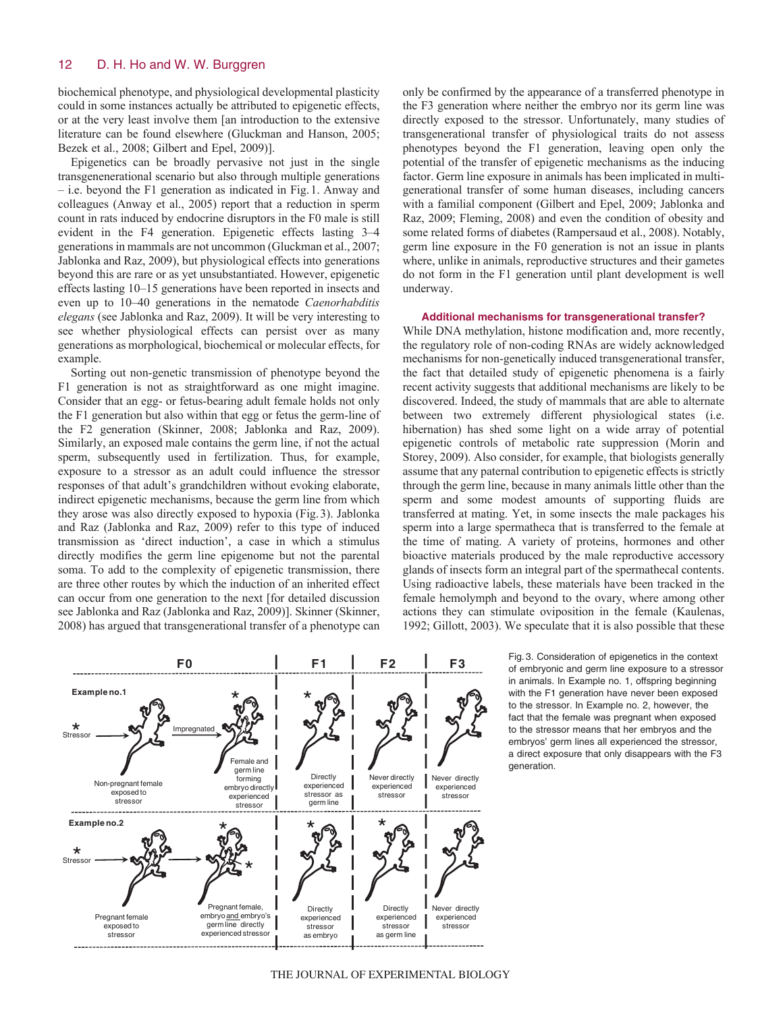biochemical phenotype, and physiological developmental plasticity could in some instances actually be attributed to epigenetic effects, or at the very least involve them [an introduction to the extensive literature can be found elsewhere (Gluckman and Hanson, 2005; Bezek et al., 2008; Gilbert and Epel, 2009)].

Epigenetics can be broadly pervasive not just in the single transgenenerational scenario but also through multiple generations – i.e. beyond the F1 generation as indicated in Fig.1. Anway and colleagues (Anway et al., 2005) report that a reduction in sperm count in rats induced by endocrine disruptors in the F0 male is still evident in the F4 generation. Epigenetic effects lasting 3–4 generations in mammals are not uncommon (Gluckman et al., 2007; Jablonka and Raz, 2009), but physiological effects into generations beyond this are rare or as yet unsubstantiated. However, epigenetic effects lasting 10–15 generations have been reported in insects and even up to 10–40 generations in the nematode *Caenorhabditis elegans* (see Jablonka and Raz, 2009). It will be very interesting to see whether physiological effects can persist over as many generations as morphological, biochemical or molecular effects, for example.

Sorting out non-genetic transmission of phenotype beyond the F1 generation is not as straightforward as one might imagine. Consider that an egg- or fetus-bearing adult female holds not only the F1 generation but also within that egg or fetus the germ-line of the F2 generation (Skinner, 2008; Jablonka and Raz, 2009). Similarly, an exposed male contains the germ line, if not the actual sperm, subsequently used in fertilization. Thus, for example, exposure to a stressor as an adult could influence the stressor responses of that adult's grandchildren without evoking elaborate, indirect epigenetic mechanisms, because the germ line from which they arose was also directly exposed to hypoxia (Fig.3). Jablonka and Raz (Jablonka and Raz, 2009) refer to this type of induced transmission as 'direct induction', a case in which a stimulus directly modifies the germ line epigenome but not the parental soma. To add to the complexity of epigenetic transmission, there are three other routes by which the induction of an inherited effect can occur from one generation to the next [for detailed discussion see Jablonka and Raz (Jablonka and Raz, 2009)]. Skinner (Skinner, 2008) has argued that transgenerational transfer of a phenotype can

only be confirmed by the appearance of a transferred phenotype in the F3 generation where neither the embryo nor its germ line was directly exposed to the stressor. Unfortunately, many studies of transgenerational transfer of physiological traits do not assess phenotypes beyond the F1 generation, leaving open only the potential of the transfer of epigenetic mechanisms as the inducing factor. Germ line exposure in animals has been implicated in multigenerational transfer of some human diseases, including cancers with a familial component (Gilbert and Epel, 2009; Jablonka and Raz, 2009; Fleming, 2008) and even the condition of obesity and some related forms of diabetes (Rampersaud et al., 2008). Notably, germ line exposure in the F0 generation is not an issue in plants where, unlike in animals, reproductive structures and their gametes do not form in the F1 generation until plant development is well underway.

#### **Additional mechanisms for transgenerational transfer?**

While DNA methylation, histone modification and, more recently, the regulatory role of non-coding RNAs are widely acknowledged mechanisms for non-genetically induced transgenerational transfer, the fact that detailed study of epigenetic phenomena is a fairly recent activity suggests that additional mechanisms are likely to be discovered. Indeed, the study of mammals that are able to alternate between two extremely different physiological states (i.e. hibernation) has shed some light on a wide array of potential epigenetic controls of metabolic rate suppression (Morin and Storey, 2009). Also consider, for example, that biologists generally assume that any paternal contribution to epigenetic effects is strictly through the germ line, because in many animals little other than the sperm and some modest amounts of supporting fluids are transferred at mating. Yet, in some insects the male packages his sperm into a large spermatheca that is transferred to the female at the time of mating. A variety of proteins, hormones and other bioactive materials produced by the male reproductive accessory glands of insects form an integral part of the spermathecal contents. Using radioactive labels, these materials have been tracked in the female hemolymph and beyond to the ovary, where among other actions they can stimulate oviposition in the female (Kaulenas, 1992; Gillott, 2003). We speculate that it is also possible that these



Fig. 3. Consideration of epigenetics in the context of embryonic and germ line exposure to a stressor in animals. In Example no. 1, offspring beginning with the F1 generation have never been exposed to the stressor. In Example no. 2, however, the fact that the female was pregnant when exposed to the stressor means that her embryos and the embryos' germ lines all experienced the stressor, a direct exposure that only disappears with the F3 generation.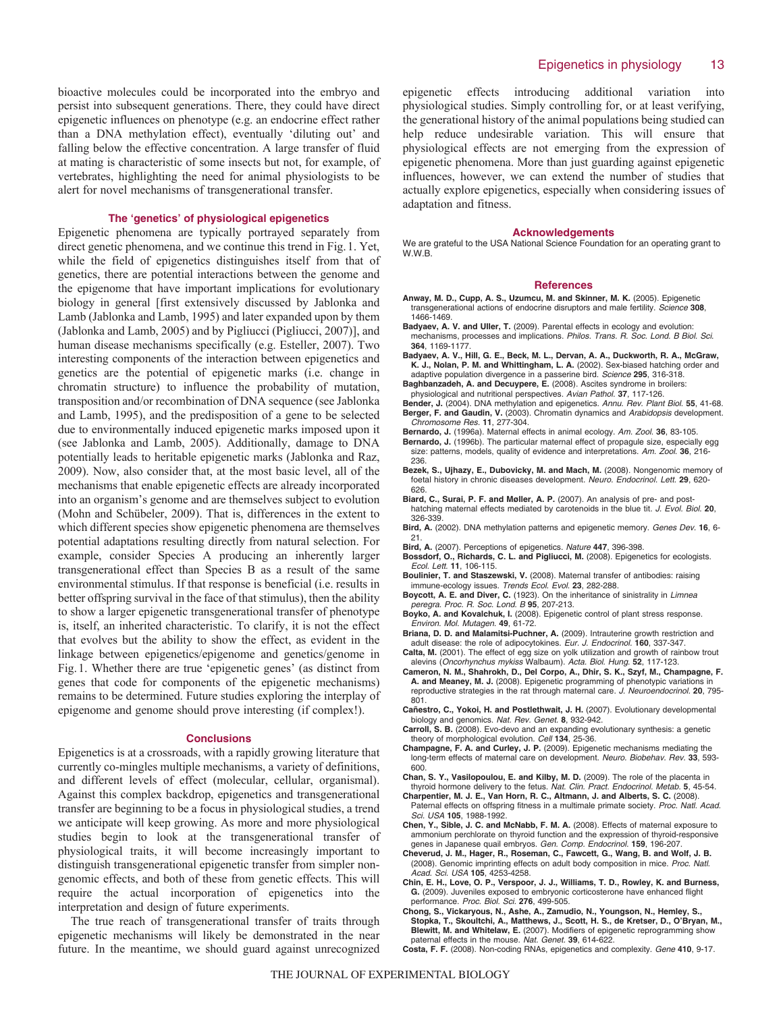bioactive molecules could be incorporated into the embryo and persist into subsequent generations. There, they could have direct epigenetic influences on phenotype (e.g. an endocrine effect rather than a DNA methylation effect), eventually 'diluting out' and falling below the effective concentration. A large transfer of fluid at mating is characteristic of some insects but not, for example, of vertebrates, highlighting the need for animal physiologists to be alert for novel mechanisms of transgenerational transfer.

#### **The 'genetics' of physiological epigenetics**

Epigenetic phenomena are typically portrayed separately from direct genetic phenomena, and we continue this trend in Fig.1. Yet, while the field of epigenetics distinguishes itself from that of genetics, there are potential interactions between the genome and the epigenome that have important implications for evolutionary biology in general [first extensively discussed by Jablonka and Lamb (Jablonka and Lamb, 1995) and later expanded upon by them (Jablonka and Lamb, 2005) and by Pigliucci (Pigliucci, 2007)], and human disease mechanisms specifically (e.g. Esteller, 2007). Two interesting components of the interaction between epigenetics and genetics are the potential of epigenetic marks (i.e. change in chromatin structure) to influence the probability of mutation, transposition and/or recombination of DNA sequence (see Jablonka and Lamb, 1995), and the predisposition of a gene to be selected due to environmentally induced epigenetic marks imposed upon it (see Jablonka and Lamb, 2005). Additionally, damage to DNA potentially leads to heritable epigenetic marks (Jablonka and Raz, 2009). Now, also consider that, at the most basic level, all of the mechanisms that enable epigenetic effects are already incorporated into an organism's genome and are themselves subject to evolution (Mohn and Schübeler, 2009). That is, differences in the extent to which different species show epigenetic phenomena are themselves potential adaptations resulting directly from natural selection. For example, consider Species A producing an inherently larger transgenerational effect than Species B as a result of the same environmental stimulus. If that response is beneficial (i.e. results in better offspring survival in the face of that stimulus), then the ability to show a larger epigenetic transgenerational transfer of phenotype is, itself, an inherited characteristic. To clarify, it is not the effect that evolves but the ability to show the effect, as evident in the linkage between epigenetics/epigenome and genetics/genome in Fig.1. Whether there are true 'epigenetic genes' (as distinct from genes that code for components of the epigenetic mechanisms) remains to be determined. Future studies exploring the interplay of epigenome and genome should prove interesting (if complex!).

#### **Conclusions**

Epigenetics is at a crossroads, with a rapidly growing literature that currently co-mingles multiple mechanisms, a variety of definitions, and different levels of effect (molecular, cellular, organismal). Against this complex backdrop, epigenetics and transgenerational transfer are beginning to be a focus in physiological studies, a trend we anticipate will keep growing. As more and more physiological studies begin to look at the transgenerational transfer of physiological traits, it will become increasingly important to distinguish transgenerational epigenetic transfer from simpler nongenomic effects, and both of these from genetic effects. This will require the actual incorporation of epigenetics into the interpretation and design of future experiments.

The true reach of transgenerational transfer of traits through epigenetic mechanisms will likely be demonstrated in the near future. In the meantime, we should guard against unrecognized epigenetic effects introducing additional variation into physiological studies. Simply controlling for, or at least verifying, the generational history of the animal populations being studied can help reduce undesirable variation. This will ensure that physiological effects are not emerging from the expression of epigenetic phenomena. More than just guarding against epigenetic influences, however, we can extend the number of studies that actually explore epigenetics, especially when considering issues of adaptation and fitness.

#### **Acknowledgements**

We are grateful to the USA National Science Foundation for an operating grant to W.W.B.

#### **References**

- **Anway, M. D., Cupp, A. S., Uzumcu, M. and Skinner, M. K.** (2005). Epigenetic transgenerational actions of endocrine disruptors and male fertility. Science **308**, 1466-1469.
- **Badyaev, A. V. and Uller, T.** (2009). Parental effects in ecology and evolution: mechanisms, processes and implications. Philos. Trans. R. Soc. Lond. B Biol. Sci. **364**, 1169-1177.
- **Badyaev, A. V., Hill, G. E., Beck, M. L., Dervan, A. A., Duckworth, R. A., McGraw, K. J., Nolan, P. M. and Whittingham, L. A.** (2002). Sex-biased hatching order and adaptive population divergence in a passerine bird. Science **295**, 316-318.
- **Baghbanzadeh, A. and Decuypere, E.** (2008). Ascites syndrome in broilers: physiological and nutritional perspectives. Avian Pathol. **37**, 117-126.
- **Bender, J.** (2004). DNA methylation and epigenetics. Annu. Rev. Plant Biol. **55**, 41-68.
- **Berger, F. and Gaudin, V.** (2003). Chromatin dynamics and Arabidopsis development. Chromosome Res. **11**, 277-304.
- **Bernardo, J.** (1996a). Maternal effects in animal ecology. Am. Zool. **36**, 83-105.
- Bernardo, J. (1996b). The particular maternal effect of propagule size, especially egg size: patterns, models, quality of evidence and interpretations. Am. Zool. **36**, 216- 236.
- **Bezek, S., Ujhazy, E., Dubovicky, M. and Mach, M.** (2008). Nongenomic memory of foetal history in chronic diseases development. Neuro. Endocrinol. Lett. **29**, 620- 626.
- **Biard, C., Surai, P. F. and Møller, A. P.** (2007). An analysis of pre- and posthatching maternal effects mediated by carotenoids in the blue tit. J. Evol. Biol. **20**,
- 326-339. **Bird, A.** (2002). DNA methylation patterns and epigenetic memory. Genes Dev. **16**, 6-
- 21. **Bird, A.** (2007). Perceptions of epigenetics. Nature **447**, 396-398.
- 
- **Bossdorf, O., Richards, C. L. and Pigliucci, M.** (2008). Epigenetics for ecologists. Ecol. Lett. **11**, 106-115.
- **Boulinier, T. and Staszewski, V.** (2008). Maternal transfer of antibodies: raising immune-ecology issues. Trends Ecol. Evol. **23**, 282-288.
- **Boycott, A. E. and Diver, C.** (1923). On the inheritance of sinistrality in Limnea peregra. Proc. R. Soc. Lond. B **95**, 207-213.
- **Boyko, A. and Kovalchuk, I.** (2008). Epigenetic control of plant stress response. Environ. Mol. Mutagen. **49**, 61-72.
- **Briana, D. D. and Malamitsi-Puchner, A.** (2009). Intrauterine growth restriction and adult disease: the role of adipocytokines. Eur. J. Endocrinol. **160**, 337-347.
- **Calta, M.** (2001). The effect of egg size on yolk utilization and growth of rainbow trout alevins (Oncorhynchus mykiss Walbaum). Acta. Biol. Hung. **52**, 117-123.
- **Cameron, N. M., Shahrokh, D., Del Corpo, A., Dhir, S. K., Szyf, M., Champagne, F. A. and Meaney, M. J.** (2008). Epigenetic programming of phenotypic variations in reproductive strategies in the rat through maternal care. J. Neuroendocrinol. **20**, 795- 801.
- **Cañestro, C., Yokoi, H. and Postlethwait, J. H.** (2007). Evolutionary developmental biology and genomics. Nat. Rev. Genet. **8**, 932-942.
- **Carroll, S. B.** (2008). Evo-devo and an expanding evolutionary synthesis: a genetic theory of morphological evolution. Cell **134**, 25-36.
- **Champagne, F. A. and Curley, J. P.** (2009). Epigenetic mechanisms mediating the long-term effects of maternal care on development. Neuro. Biobehav. Rev. **33**, 593- 600.
- **Chan, S. Y., Vasilopoulou, E. and Kilby, M. D.** (2009). The role of the placenta in thyroid hormone delivery to the fetus. Nat. Clin. Pract. Endocrinol. Metab. **5**, 45-54.
- **Charpentier, M. J. E., Van Horn, R. C., Altmann, J. and Alberts, S. C.** (2008). Paternal effects on offspring fitness in a multimale primate society. Proc. Natl. Acad. Sci. USA **105**, 1988-1992.
- **Chen, Y., Sible, J. C. and McNabb, F. M. A.** (2008). Effects of maternal exposure to ammonium perchlorate on thyroid function and the expression of thyroid-responsive genes in Japanese quail embryos. Gen. Comp. Endocrinol. **159**, 196-207.
- **Cheverud, J. M., Hager, R., Roseman, C., Fawcett, G., Wang, B. and Wolf, J. B.** (2008). Genomic imprinting effects on adult body composition in mice. Proc. Natl. Acad. Sci. USA **105**, 4253-4258.
- **Chin, E. H., Love, O. P., Verspoor, J. J., Williams, T. D., Rowley, K. and Burness, G.** (2009). Juveniles exposed to embryonic corticosterone have enhanced flight performance. Proc. Biol. Sci. **276**, 499-505.
- **Chong, S., Vickaryous, N., Ashe, A., Zamudio, N., Youngson, N., Hemley, S., Stopka, T., Skoultchi, A., Matthews, J., Scott, H. S., de Kretser, D., O'Bryan, M., Blewitt, M. and Whitelaw, E.** (2007). Modifiers of epigenetic reprogramming show paternal effects in the mouse. Nat. Genet. **39**, 614-622.
- **Costa, F. F.** (2008). Non-coding RNAs, epigenetics and complexity. Gene **410**, 9-17.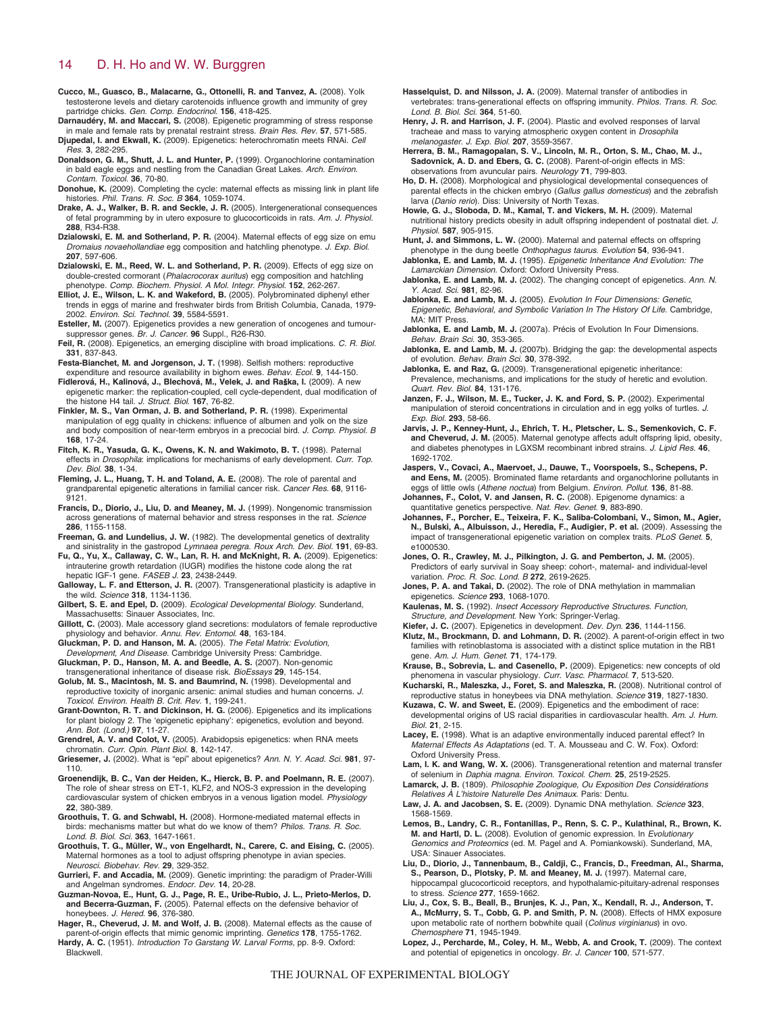- **Cucco, M., Guasco, B., Malacarne, G., Ottonelli, R. and Tanvez, A.** (2008). Yolk testosterone levels and dietary carotenoids influence growth and immunity of grey partridge chicks. Gen. Comp. Endocrinol. **156**, 418-425.
- **Darnaudéry, M. and Maccari, S.** (2008). Epigenetic programming of stress response in male and female rats by prenatal restraint stress. Brain Res. Rev. **57**, 571-585. **Djupedal, I. and Ekwall, K.** (2009). Epigenetics: heterochromatin meets RNAi. Cell
- Res. **3**, 282-295. **Donaldson, G. M., Shutt, J. L. and Hunter, P.** (1999). Organochlorine contamination in bald eagle eggs and nestling from the Canadian Great Lakes. Arch. Environ. Contam. Toxicol. **36**, 70-80.
- **Donohue, K.** (2009). Completing the cycle: maternal effects as missing link in plant life histories. Phil. Trans. R. Soc. B **364**, 1059-1074.
- **Drake, A. J., Walker, B. R. and Seckle, J. R.** (2005). Intergenerational consequences of fetal programming by in utero exposure to glucocorticoids in rats. Am. J. Physiol. **288**, R34-R38.
- **Dzialowski, E. M. and Sotherland, P. R.** (2004). Maternal effects of egg size on emu Dromaius novaehollandiae egg composition and hatchling phenotype. J. Exp. Biol. **207**, 597-606.
- **Dzialowski, E. M., Reed, W. L. and Sotherland, P. R.** (2009). Effects of egg size on double-crested cormorant (Phalacrocorax auritus) egg composition and hatchling
- phenotype. Comp. Biochem. Physiol. A Mol. Integr. Physiol. **152**, 262-267. **Elliot, J. E., Wilson, L. K. and Wakeford, B.** (2005). Polybrominated diphenyl ether trends in eggs of marine and freshwater birds from British Columbia, Canada, 1979- 2002. Environ. Sci. Technol. **39**, 5584-5591.
- **Esteller, M.** (2007). Epigenetics provides a new generation of oncogenes and tumoursuppressor genes. Br. J. Cancer. **96** Suppl., R26-R30.
- **Feil, R.** (2008). Epigenetics, an emerging discipline with broad implications. C. R. Biol. **331**, 837-843.

**Festa-Bianchet, M. and Jorgenson, J. T.** (1998). Selfish mothers: reproductive

- expenditure and resource availability in bighorn ewes. Behav. Ecol. **9**, 144-150. **Fidlerová, H., Kalinová, J., Blechová, M., Velek, J. and Ra**s**ka, I.** (2009). A new epigenetic marker: the replication-coupled, cell cycle-dependent, dual modification of the histone H4 tail. J. Struct. Biol. **167**, 76-82.
- **Finkler, M. S., Van Orman, J. B. and Sotherland, P. R.** (1998). Experimental manipulation of egg quality in chickens: influence of albumen and yolk on the size and body composition of near-term embryos in a precocial bird. J. Comp. Physiol. B **168**, 17-24.
- **Fitch, K. R., Yasuda, G. K., Owens, K. N. and Wakimoto, B. T.** (1998). Paternal effects in Drosophila: implications for mechanisms of early development. Curr. Top. Dev. Biol. **38**, 1-34.
- **Fleming, J. L., Huang, T. H. and Toland, A. E.** (2008). The role of parental and grandparental epigenetic alterations in familial cancer risk. Cancer Res. **68**, 9116- 9121.
- **Francis, D., Diorio, J., Liu, D. and Meaney, M. J.** (1999). Nongenomic transmission across generations of maternal behavior and stress responses in the rat. Science **286**, 1155-1158.
- **Freeman, G. and Lundelius, J. W.** (1982). The developmental genetics of dextrality and sinistrality in the gastropod Lymnaea peregra. Roux Arch. Dev. Biol. **191**, 69-83.
- **Fu, Q., Yu, X., Callaway, C. W., Lan, R. H. and McKnight, R. A.** (2009). Epigenetics: intrauterine growth retardation (IUGR) modifies the histone code along the rat hepatic IGF-1 gene. FASEB J. **23**, 2438-2449.
- **Galloway, L. F. and Etterson, J. R.** (2007). Transgenerational plasticity is adaptive in the wild. Science **318**, 1134-1136.
- **Gilbert, S. E. and Epel, D.** (2009). Ecological Developmental Biology. Sunderland, Massachusetts: Sinauer Associates, Inc.
- **Gillott, C.** (2003). Male accessory gland secretions: modulators of female reproductive physiology and behavior. Annu. Rev. Entomol. **48**, 163-184.
- **Gluckman, P. D. and Hanson, M. A.** (2005). The Fetal Matrix: Evolution,
- Development, And Disease. Cambridge University Press: Cambridge. **Gluckman, P. D., Hanson, M. A. and Beedle, A. S.** (2007). Non-genomic transgenerational inheritance of disease risk. BioEssays **29**, 145-154.
- **Golub, M. S., Macintosh, M. S. and Baumrind, N.** (1998). Developmental and
- reproductive toxicity of inorganic arsenic: animal studies and human concerns. J. Toxicol. Environ. Health B. Crit. Rev. **1**, 199-241. **Grant-Downton, R. T. and Dickinson, H. G.** (2006). Epigenetics and its implications
- for plant biology 2. The 'epigenetic epiphany': epigenetics, evolution and beyond. Ann. Bot. (Lond.) **97**, 11-27.
- **Grendrel, A. V. and Colot, V.** (2005). Arabidopsis epigenetics: when RNA meets chromatin. Curr. Opin. Plant Biol. **8**, 142-147.
- **Griesemer, J.** (2002). What is "epi" about epigenetics? Ann. N. Y. Acad. Sci. **981**, 97- 110.
- **Groenendijk, B. C., Van der Heiden, K., Hierck, B. P. and Poelmann, R. E.** (2007). The role of shear stress on ET-1, KLF2, and NOS-3 expression in the developing cardiovascular system of chicken embryos in a venous ligation model. Physiology **22**, 380-389.
- **Groothuis, T. G. and Schwabl, H.** (2008). Hormone-mediated maternal effects in birds: mechanisms matter but what do we know of them? Philos. Trans. R. Soc. Lond. B. Biol. Sci. **363**, 1647-1661.
- **Groothuis, T. G., Müller, W., von Engelhardt, N., Carere, C. and Eising, C.** (2005). Maternal hormones as a tool to adjust offspring phenotype in avian species. Neurosci. Biobehav. Rev. **29**, 329-352.
- **Gurrieri, F. and Accadia, M.** (2009). Genetic imprinting: the paradigm of Prader-Willi and Angelman syndromes. Endocr. Dev. **14**, 20-28.
- **Guzman-Novoa, E., Hunt, G. J., Page, R. E., Uribe-Rubio, J. L., Prieto-Merlos, D. and Becerra-Guzman, F.** (2005). Paternal effects on the defensive behavior of honeybees. J. Hered. **96**, 376-380.
- **Hager, R., Cheverud, J. M. and Wolf, J. B.** (2008). Maternal effects as the cause of parent-of-origin effects that mimic genomic imprinting. Genetics **178**, 1755-1762. Hardy, A. C. (1951). Introduction To Garstang W. Larval Forms, pp. 8-9. Oxford: Blackwell.
- **Hasselquist, D. and Nilsson, J. A.** (2009). Maternal transfer of antibodies in vertebrates: trans-generational effects on offspring immunity. Philos. Trans. R. Soc. Lond. B. Biol. Sci. **364**, 51-60.
- **Henry, J. R. and Harrison, J. F.** (2004). Plastic and evolved responses of larval tracheae and mass to varying atmospheric oxygen content in Drosophila melanogaster. J. Exp. Biol. **207**, 3559-3567.
- **Herrera, B. M., Ramagopalan, S. V., Lincoln, M. R., Orton, S. M., Chao, M. J., Sadovnick, A. D. and Ebers, G. C.** (2008). Parent-of-origin effects in MS: observations from avuncular pairs. Neurology **71**, 799-803.
- **Ho, D. H.** (2008). Morphological and physiological developmental consequences of parental effects in the chicken embryo (Gallus gallus domesticus) and the zebrafish larva (Danio rerio). Diss: University of North Texas.
- **Howie, G. J., Sloboda, D. M., Kamal, T. and Vickers, M. H.** (2009). Maternal nutritional history predicts obesity in adult offspring independent of postnatal diet. J. Physiol. **587**, 905-915.
- **Hunt, J. and Simmons, L. W.** (2000). Maternal and paternal effects on offspring phenotype in the dung beetle Onthophagus taurus. Evolution **54**, 936-941.
- **Jablonka, E. and Lamb, M. J.** (1995). Epigenetic Inheritance And Evolution: The Lamarckian Dimension. Oxford: Oxford University Press.
- Jablonka, E. and Lamb, M. J. (2002). The changing concept of epigenetics. Ann. N. Y. Acad. Sci. **981**, 82-96.
- **Jablonka, E. and Lamb, M. J.** (2005). Evolution In Four Dimensions: Genetic, Epigenetic, Behavioral, and Symbolic Variation In The History Of Life. Cambridge, **MA: MIT Press**
- Jablonka, E. and Lamb, M. J. (2007a). Précis of Evolution In Four Dimensions. Behav. Brain Sci. **30**, 353-365.
- **Jablonka, E. and Lamb, M. J.** (2007b). Bridging the gap: the developmental aspects of evolution. Behav. Brain Sci. **30**, 378-392.
- **Jablonka, E. and Raz, G.** (2009). Transgenerational epigenetic inheritance: Prevalence, mechanisms, and implications for the study of heretic and evolution. Quart. Rev. Biol. **84**, 131-176.
- **Janzen, F. J., Wilson, M. E., Tucker, J. K. and Ford, S. P.** (2002). Experimental manipulation of steroid concentrations in circulation and in egg yolks of turtles. J. Exp. Biol. **293**, 58-66.
- **Jarvis, J. P., Kenney-Hunt, J., Ehrich, T. H., Pletscher, L. S., Semenkovich, C. F. and Cheverud, J. M.** (2005). Maternal genotype affects adult offspring lipid, obesity, and diabetes phenotypes in LGXSM recombinant inbred strains. J. Lipid Res. **46**, 1692-1702.
- **Jaspers, V., Covaci, A., Maervoet, J., Dauwe, T., Voorspoels, S., Schepens, P. and Eens, M.** (2005). Brominated flame retardants and organochlorine pollutants in eggs of little owls (Athene noctua) from Belgium. Environ. Pollut. **136**, 81-88.
- **Johannes, F., Colot, V. and Jansen, R. C.** (2008). Epigenome dynamics: a quantitative genetics perspective. Nat. Rev. Genet. **9**, 883-890.
- **Johannes, F., Porcher, E., Teixeira, F. K., Saliba-Colombani, V., Simon, M., Agier, N., Bulski, A., Albuisson, J., Heredia, F., Audigier, P. et al.** (2009). Assessing the impact of transgenerational epigenetic variation on complex traits. PLoS Genet. **5**, e1000530.
- **Jones, O. R., Crawley, M. J., Pilkington, J. G. and Pemberton, J. M.** (2005). Predictors of early survival in Soay sheep: cohort-, maternal- and individual-level variation. Proc. R. Soc. Lond. B **272**, 2619-2625.
- **Jones, P. A. and Takai, D.** (2002). The role of DNA methylation in mammalian epigenetics. Science **293**, 1068-1070.
- **Kaulenas, M. S.** (1992). Insect Accessory Reproductive Structures. Function, Structure, and Development. New York: Springer-Verlag.
- **Kiefer, J. C.** (2007). Epigenetics in development. Dev. Dyn. **236**, 1144-1156.
- **Klutz, M., Brockmann, D. and Lohmann, D. R.** (2002). A parent-of-origin effect in two families with retinoblastoma is associated with a distinct splice mutation in the RB1 gene. Am. J. Hum. Genet. **71**, 174-179.
- **Krause, B., Sobrevia, L. and Casenello, P.** (2009). Epigenetics: new concepts of old phenomena in vascular physiology. Curr. Vasc. Pharmacol. **7**, 513-520.
- **Kucharski, R., Maleszka, J., Foret, S. and Maleszka, R.** (2008). Nutritional control of reproductive status in honeybees via DNA methylation. Science **319**, 1827-1830.
- **Kuzawa, C. W. and Sweet, E.** (2009). Epigenetics and the embodiment of race: developmental origins of US racial disparities in cardiovascular health. Am. J. Hum. Biol. **21**, 2-15.
- **Lacey, E.** (1998). What is an adaptive environmentally induced parental effect? In Maternal Effects As Adaptations (ed. T. A. Mousseau and C. W. Fox). Oxford: Oxford University Press.
- **Lam, I. K. and Wang, W. X.** (2006). Transgenerational retention and maternal transfer of selenium in Daphia magna. Environ. Toxicol. Chem. **25**, 2519-2525.
- **Lamarck, J. B.** (1809). Philosophie Zoologique, Ou Exposition Des Considérations Relatives À L'histoire Naturelle Des Animaux. Paris: Dentu.
- **Law, J. A. and Jacobsen, S. E.** (2009). Dynamic DNA methylation. Science **323**, 1568-1569.
- **Lemos, B., Landry, C. R., Fontanillas, P., Renn, S. C. P., Kulathinal, R., Brown, K. M. and Hartl, D. L.** (2008). Evolution of genomic expression. In Evolutionary Genomics and Proteomics (ed. M. Pagel and A. Pomiankowski). Sunderland, MA USA: Sinauer Associates.
- **Liu, D., Diorio, J., Tannenbaum, B., Caldji, C., Francis, D., Freedman, Al., Sharma, S., Pearson, D., Plotsky, P. M. and Meaney, M. J.** (1997). Maternal care, hippocampal glucocorticoid receptors, and hypothalamic-pituitary-adrenal responses to stress. Science **277**, 1659-1662.
- **Liu, J., Cox, S. B., Beall, B., Brunjes, K. J., Pan, X., Kendall, R. J., Anderson, T. A., McMurry, S. T., Cobb, G. P. and Smith, P. N.** (2008). Effects of HMX exposure upon metabolic rate of northern bobwhite quail (Colinus virginianus) in ovo. Chemosphere **71**, 1945-1949.
- **Lopez, J., Percharde, M., Coley, H. M., Webb, A. and Crook, T.** (2009). The context and potential of epigenetics in oncology. Br. J. Cancer **100**, 571-577.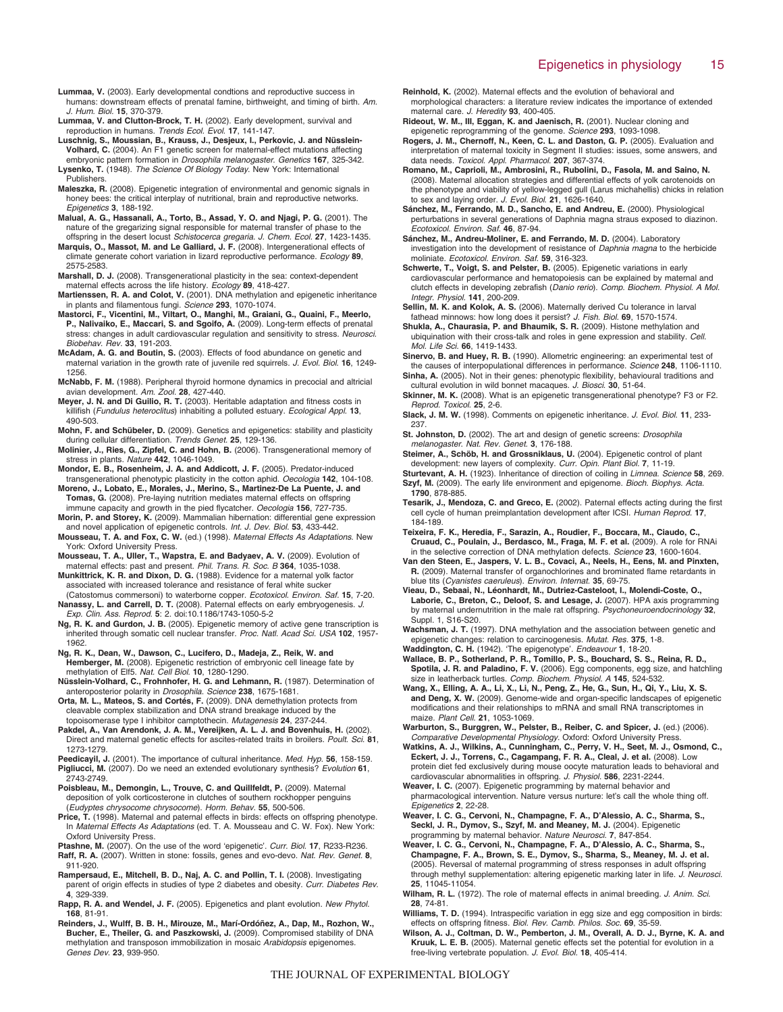- **Lummaa, V.** (2003). Early developmental condtions and reproductive success in humans: downstream effects of prenatal famine, birthweight, and timing of birth. Am. J. Hum. Biol. **15**, 370-379.
- **Lummaa, V. and Clutton-Brock, T. H.** (2002). Early development, survival and reproduction in humans. Trends Ecol. Evol. **17**, 141-147.
- **Luschnig, S., Moussian, B., Krauss, J., Desjeux, I., Perkovic, J. and Nüsslein-Volhard, C.** (2004). An F1 genetic screen for maternal-effect mutations affecting embryonic pattern formation in Drosophila melanogaster. Genetics **167**, 325-342. **Lysenko, T.** (1948). The Science Of Biology Today. New York: International Publishers.
- **Maleszka, R.** (2008). Epigenetic integration of environmental and genomic signals in honey bees: the critical interplay of nutritional, brain and reproductive networks. Epigenetics **3**, 188-192.
- **Malual, A. G., Hassanali, A., Torto, B., Assad, Y. O. and Njagi, P. G.** (2001). The nature of the gregarizing signal responsible for maternal transfer of phase to the
- offspring in the desert locust Schistocerca gregaria. J. Chem. Ecol. **27**, 1423-1435. **Marquis, O., Massot, M. and Le Galliard, J. F.** (2008). Intergenerational effects of climate generate cohort variation in lizard reproductive performance. Ecology **89**, 2575-2583.
- **Marshall, D. J.** (2008). Transgenerational plasticity in the sea: context-dependent maternal effects across the life history. Ecology **89**, 418-427.
- **Martienssen, R. A. and Colot, V.** (2001). DNA methylation and epigenetic inheritance in plants and filamentous fungi. Science **293**, 1070-1074.
- **Mastorci, F., Vicentini, M., Viltart, O., Manghi, M., Graiani, G., Quaini, F., Meerlo, P., Nalivaiko, E., Maccari, S. and Sgoifo, A.** (2009). Long-term effects of prenatal stress: changes in adult cardiovascular regulation and sensitivity to stress. Neurosci. Biobehav. Rev. **33**, 191-203.
- **McAdam, A. G. and Boutin, S.** (2003). Effects of food abundance on genetic and maternal variation in the growth rate of juvenile red squirrels. J. Evol. Biol. **16**, 1249- 1256.
- **McNabb, F. M.** (1988). Peripheral thyroid hormone dynamics in precocial and altricial avian development. Am. Zool. **28**, 427-440.
- **Meyer, J. N. and Di Guilio, R. T.** (2003). Heritable adaptation and fitness costs in killifish (Fundulus heteroclitus) inhabiting a polluted estuary. Ecological Appl. **13**, 490-503.
- **Mohn, F. and Schübeler, D.** (2009). Genetics and epigenetics: stability and plasticity during cellular differentiation. Trends Genet. **25**, 129-136.

**Molinier, J., Ries, G., Zipfel, C. and Hohn, B.** (2006). Transgenerational memory of stress in plants. Nature **442**, 1046-1049.

**Mondor, E. B., Rosenheim, J. A. and Addicott, J. F.** (2005). Predator-induced transgenerational phenotypic plasticity in the cotton aphid. Oecologia **142**, 104-108.

**Moreno, J., Lobato, E., Morales, J., Merino, S., Martinez-De La Puente, J. and Tomas, G.** (2008). Pre-laying nutrition mediates maternal effects on offspring immune capacity and growth in the pied flycatcher. Oecologia **156**, 727-735.

- **Morin, P. and Storey, K.** (2009). Mammalian hibernation: differential gene expression and novel application of epigenetic controls. Int. J. Dev. Biol. **53**, 433-442.
- **Mousseau, T. A. and Fox, C. W.** (ed.) (1998). Maternal Effects As Adaptations. New York: Oxford University Press.
- **Mousseau, T. A., Uller, T., Wapstra, E. and Badyaev, A. V.** (2009). Evolution of maternal effects: past and present. Phil. Trans. R. Soc. B **364**, 1035-1038.
- **Munkittrick, K. R. and Dixon, D. G.** (1988). Evidence for a maternal yolk factor associated with increased tolerance and resistance of feral white sucker (Catostomus commersoni) to waterborne copper. Ecotoxicol. Environ. Saf. **15**, 7-20.
- **Nanassy, L. and Carrell, D. T.** (2008). Paternal effects on early embryogenesis. J. Exp. Clin. Ass. Reprod. **5**: 2. doi:10.1186/1743-1050-5-2
- **Ng, R. K. and Gurdon, J. B.** (2005). Epigenetic memory of active gene transcription is inherited through somatic cell nuclear transfer. Proc. Natl. Acad Sci. USA **102**, 1957- 1962.
- **Ng, R. K., Dean, W., Dawson, C., Lucifero, D., Madeja, Z., Reik, W. and Hemberger, M.** (2008). Epigenetic restriction of embryonic cell lineage fate by methylation of Elf5. Nat. Cell Biol. **10**, 1280-1290.
- **Nüsslein-Volhard, C., Frohnhofer, H. G. and Lehmann, R.** (1987). Determination of anteroposterior polarity in Drosophila. Science **238**, 1675-1681.
- **Orta, M. L., Mateos, S. and Cortés, F.** (2009). DNA demethylation protects from cleavable complex stabilization and DNA strand breakage induced by the topoisomerase type I inhibitor camptothecin. Mutagenesis **24**, 237-244.
- **Pakdel, A., Van Arendonk, J. A. M., Vereijken, A. L. J. and Bovenhuis, H.** (2002). Direct and maternal genetic effects for ascites-related traits in broilers. Poult. Sci. **81**, 1273-1279.
- **Peedicayil, J.** (2001). The importance of cultural inheritance. Med. Hyp. **56**, 158-159. **Pigliucci, M.** (2007). Do we need an extended evolutionary synthesis? Evolution **61**, 2743-2749.
- **Poisbleau, M., Demongin, L., Trouve, C. and Quillfeldt, P.** (2009). Maternal deposition of yolk corticosterone in clutches of southern rockhopper penguins (Eudyptes chrysocome chrysocome). Horm. Behav. **55**, 500-506.
- **Price, T.** (1998). Maternal and paternal effects in birds: effects on offspring phenotype. In Maternal Effects As Adaptations (ed. T. A. Mousseau and C. W. Fox). New York: Oxford University Press.
- **Ptashne, M.** (2007). On the use of the word 'epigenetic'. Curr. Biol. **17**, R233-R236. **Raff, R. A.** (2007). Written in stone: fossils, genes and evo-devo. Nat. Rev. Genet. **8**,
- 911-920. **Rampersaud, E., Mitchell, B. D., Naj, A. C. and Pollin, T. I.** (2008). Investigating
- parent of origin effects in studies of type 2 diabetes and obesity. Curr. Diabetes Rev. **4**, 329-339.
- **Rapp, R. A. and Wendel, J. F.** (2005). Epigenetics and plant evolution. New Phytol. **168**, 81-91.
- **Reinders, J., Wulff, B. B. H., Mirouze, M., Marí-Ordóñez, A., Dap, M., Rozhon, W., Bucher, E., Theiler, G. and Paszkowski, J.** (2009). Compromised stability of DNA methylation and transposon immobilization in mosaic Arabidopsis epigenomes. Genes Dev. **23**, 939-950.
- **Reinhold, K.** (2002). Maternal effects and the evolution of behavioral and morphological characters: a literature review indicates the importance of extended maternal care. J. Heredity **93**, 400-405.
- **Rideout, W. M., III, Eggan, K. and Jaenisch, R.** (2001). Nuclear cloning and epigenetic reprogramming of the genome. Science **293**, 1093-1098.
- **Rogers, J. M., Chernoff, N., Keen, C. L. and Daston, G. P.** (2005). Evaluation and interpretation of maternal toxicity in Segment II studies: issues, some answers, and data needs. Toxicol. Appl. Pharmacol. **207**, 367-374.
- **Romano, M., Caprioli, M., Ambrosini, R., Rubolini, D., Fasola, M. and Saino, N.** (2008). Maternal allocation strategies and differential effects of yolk carotenoids on the phenotype and viability of yellow-legged gull (Larus michahellis) chicks in relation to sex and laying order. J. Evol. Biol. **21**, 1626-1640.
- **Sánchez, M., Ferrando, M. D., Sancho, E. and Andreu, E.** (2000). Physiological perturbations in several generations of Daphnia magna straus exposed to diazinon. Ecotoxicol. Environ. Saf. **46**, 87-94.
- **Sánchez, M., Andreu-Moliner, E. and Ferrando, M. D.** (2004). Laboratory investigation into the development of resistance of Daphnia magna to the herbicide moliniate. Ecotoxicol. Environ. Saf. **59**, 316-323.
- **Schwerte, T., Voigt, S. and Pelster, B.** (2005). Epigenetic variations in early cardiovascular performance and hematopoiesis can be explained by maternal and clutch effects in developing zebrafish (Danio rerio). Comp. Biochem. Physiol. A Mol. Integr. Physiol. **141**, 200-209.

**Sellin, M. K. and Kolok, A. S.** (2006). Maternally derived Cu tolerance in larval fathead minnows: how long does it persist? J. Fish. Biol. **69**, 1570-1574.

- **Shukla, A., Chaurasia, P. and Bhaumik, S. R.** (2009). Histone methylation and ubiquination with their cross-talk and roles in gene expression and stability. Cell. Mol. Life Sci. **66**, 1419-1433.
- **Sinervo, B. and Huey, R. B.** (1990). Allometric engineering: an experimental test of the causes of interpopulational differences in performance. Science **248**, 1106-1110. **Sinha, A.** (2005). Not in their genes: phenotypic flexibility, behavioural traditions and
- cultural evolution in wild bonnet macaques. J. Biosci. **30**, 51-64. **Skinner, M. K.** (2008). What is an epigenetic transgenerational phenotype? F3 or F2.
- Reprod. Toxicol. **25**, 2-6. **Slack, J. M. W.** (1998). Comments on epigenetic inheritance. J. Evol. Biol. **11**, 233-
- 237. **St. Johnston, D.** (2002). The art and design of genetic screens: Drosophila melanogaster. Nat. Rev. Genet. **3**, 176-188.

**Steimer, A., Schöb, H. and Grossniklaus, U.** (2004). Epigenetic control of plant development: new layers of complexity. Curr. Opin. Plant Biol. **7**, 11-19.

**Sturtevant, A. H.** (1923). Inheritance of direction of coiling in Limnea. Science **58**, 269. **Szyf, M.** (2009). The early life environment and epigenome. Bioch. Biophys. Acta. **1790**, 878-885.

- **Tesarik, J., Mendoza, C. and Greco, E.** (2002). Paternal effects acting during the first cell cycle of human preimplantation development after ICSI. Human Reprod. **17**, 184-189.
- **Teixeira, F. K., Heredia, F., Sarazin, A., Roudier, F., Boccara, M., Ciaudo, C., Cruaud, C., Poulain, J., Berdasco, M., Fraga, M. F. et al.** (2009). A role for RNAi in the selective correction of DNA methylation defects. Science **23**, 1600-1604.
- **Van den Steen, E., Jaspers, V. L. B., Covaci, A., Neels, H., Eens, M. and Pinxten, R.** (2009). Maternal transfer of organochlorines and brominated flame retardants in blue tits (Cyanistes caeruleus). Environ. Internat. **35**, 69-75.
- **Vieau, D., Sebaai, N., Léonhardt, M., Dutriez-Casteloot, I., Molendi-Coste, O., Laborie, C., Breton, C., Deloof, S. and Lesage, J.** (2007). HPA axis programming by maternal undernutrition in the male rat offspring. Psychoneuroendocrinology **32**, Suppl. 1, S16-S20.
- **Wachsman, J. T.** (1997). DNA methylation and the association between genetic and epigenetic changes: relation to carcinogenesis. Mutat. Res. **375**, 1-8.
- **Waddington, C. H.** (1942). 'The epigenotype'. Endeavour **1**, 18-20. **Wallace, B. P., Sotherland, P. R., Tomillo, P. S., Bouchard, S. S., Reina, R. D., Spotila, J. R. and Paladino, F. V.** (2006). Egg components, egg size, and hatchling size in leatherback turtles. Comp. Biochem. Physiol. A **145**, 524-532.
- **Wang, X., Elling, A. A., Li, X., Li, N., Peng, Z., He, G., Sun, H., Qi, Y., Liu, X. S. and Deng, X. W.** (2009). Genome-wide and organ-specific landscapes of epigenetic modifications and their relationships to mRNA and small RNA transcriptomes in maize. Plant Cell. **21**, 1053-1069.
- Warburton, S., Burggren, W., Pelster, B., Reiber, C. and Spicer, J. (ed.) (2006). Comparative Developmental Physiology. Oxford: Oxford University Press.
- **Watkins, A. J., Wilkins, A., Cunningham, C., Perry, V. H., Seet, M. J., Osmond, C., Eckert, J. J., Torrens, C., Cagampang, F. R. A., Cleal, J. et al.** (2008). Low protein diet fed exclusively during mouse oocyte maturation leads to behavioral and cardiovascular abnormalities in offspring. J. Physiol. **586**, 2231-2244.
- **Weaver, I. C.** (2007). Epigenetic programming by maternal behavior and pharmacological intervention. Nature versus nurture: let's call the whole thing off. Epigenetics **2**, 22-28.
- **Weaver, I. C. G., Cervoni, N., Champagne, F. A., D'Alessio, A. C., Sharma, S., Seckl, J. R., Dymov, S., Szyf, M. and Meaney, M. J.** (2004). Epigenetic programming by maternal behavior. Nature Neurosci. **7**, 847-854.
- **Weaver, I. C. G., Cervoni, N., Champagne, F. A., D'Alessio, A. C., Sharma, S., Champagne, F. A., Brown, S. E., Dymov, S., Sharma, S., Meaney, M. J. et al.** (2005). Reversal of maternal programming of stress responses in adult offspring through methyl supplementation: altering epigenetic marking later in life. J. Neurosci. **25**, 11045-11054.
- Wilham, R. L. (1972). The role of maternal effects in animal breeding. J. Anim. Sci. **28**, 74-81.
- **Williams, T. D.** (1994). Intraspecific variation in egg size and egg composition in birds: effects on offspring fitness. Biol. Rev. Camb. Philos. Soc. **69**, 35-59.
- **Wilson, A. J., Coltman, D. W., Pemberton, J. M., Overall, A. D. J., Byrne, K. A. and Kruuk, L. E. B.** (2005). Maternal genetic effects set the potential for evolution in a free-living vertebrate population. J. Evol. Biol. **18**, 405-414.